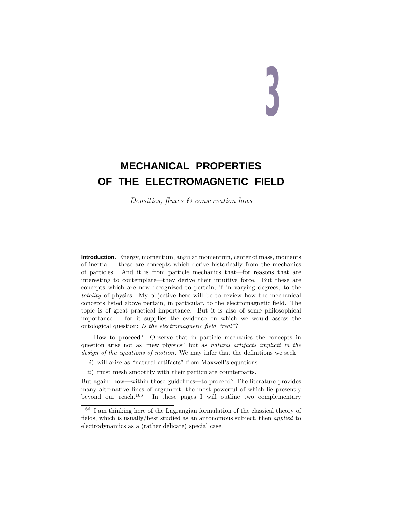# **3**

# **MECHANICAL PROPERTIES OF THE ELECTROMAGNETIC FIELD**

Densities, fluxes & conservation laws

**Introduction.** Energy, momentum, angular momentum, center of mass, moments of inertia *...*these are concepts which derive historically from the mechanics of particles. And it is from particle mechanics that—for reasons that are interesting to contemplate—they derive their intuitive force. But these are concepts which are now recognized to pertain, if in varying degrees, to the totality of physics. My objective here will be to review how the mechanical concepts listed above pertain, in particular, to the electromagnetic field. The topic is of great practical importance. But it is also of some philosophical importance *...* for it supplies the evidence on which we would assess the ontological question: Is the electromagnetic field "real"?

How to proceed? Observe that in particle mechanics the concepts in question arise not as "new physics" but as natural artifacts implicit in the design of the equations of motion. We may infer that the definitions we seek

i) will arise as "natural artifacts" from Maxwell's equations

ii) must mesh smoothly with their particulate counterparts.

But again: how—within those guidelines—to proceed? The literature provides many alternative lines of argument, the most powerful of which lie presently<br>beyond our reach.<sup>166</sup> In these pages I will outline two complementary In these pages I will outline two complementary

<sup>166</sup> I am thinking here of the Lagrangian formulation of the classical theory of fields, which is usually/best studied as an antonomous subject, then applied to electrodynamics as a (rather delicate) special case.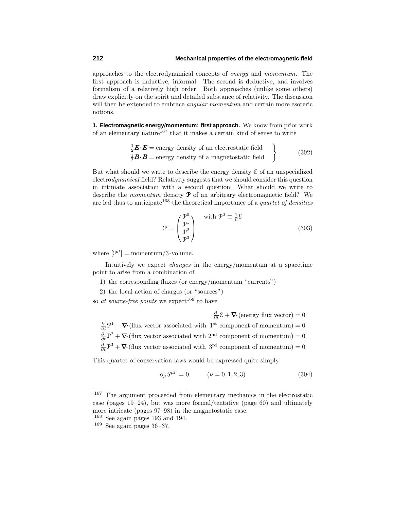approaches to the electrodynamical concepts of energy and momentum. The first approach is inductive, informal. The second is deductive, and involves formalism of a relatively high order. Both approaches (unlike some others) draw explicitly on the spirit and detailed substance of relativity. The discussion will then be extended to embrace *angular momentum* and certain more esoteric notions.

**1. Electromagnetic energy/momentum: first approach.** We know from prior work of an elementary nature<sup>167</sup> that it makes a certain kind of sense to write

$$
\frac{1}{2}\mathbf{E} \cdot \mathbf{E} = \text{energy density of an electrostatic field} \tag{302}
$$
\n
$$
\frac{1}{2}\mathbf{B} \cdot \mathbf{B} = \text{energy density of a magnetostatic field}
$$

But what should we write to describe the energy density  $\mathcal E$  of an unspecialized electrodynamical field? Relativity suggests that we should consider this question in intimate association with a second question: What should we write to describe the *momentum* density  $\mathbf{\hat{P}}$  of an arbitrary electromagnetic field? We are led thus to anticipate<sup>168</sup> the theoretical importance of a *quartet of densities* 

$$
\mathcal{P} = \begin{pmatrix} \mathcal{P}^0 \\ \mathcal{P}^1 \\ \mathcal{P}^2 \\ \mathcal{P}^3 \end{pmatrix} \quad \text{with } \mathcal{P}^0 \equiv \frac{1}{c}\mathcal{E}
$$
\n(303)

where  $[\mathcal{P}^{\mu}] = \text{momentum}/3$ -volume.

Intuitively we expect changes in the energy/momentum at a spacetime point to arise from a combination of

- 1) the corresponding fluxes (or energy/momentum "currents")
- 2) the local action of charges (or "sources")

so at source-free points we expect<sup>169</sup> to have

 $\frac{\partial}{\partial t}$  **E** + **∇**• (energy flux vector) = 0  $\frac{\partial}{\partial t}P^1$  + **V**·(flux vector associated with 1<sup>st</sup> component of momentum) = 0  $\frac{\partial}{\partial t}P^2 + \nabla \cdot (\text{flux vector associated with } 2^{\text{nd}} \text{ component of momentum}) = 0$  $\frac{\partial}{\partial t}$ P<sup>3</sup> + **∇**·(flux vector associated with 3<sup>rd</sup> component of momentum) = 0

This quartet of conservation laws would be expressed quite simply

$$
\partial_{\mu}S^{\mu\nu} = 0 \quad : \quad (\nu = 0, 1, 2, 3) \tag{304}
$$

<sup>167</sup> The argument proceeded from elementary mechanics in the electrostatic case (pages 19–24), but was more formal/tentative (page 60) and ultimately more intricate (pages 97–98) in the magnetostatic case.

<sup>168</sup> See again pages 193 and 194.

<sup>169</sup> See again pages 36–37.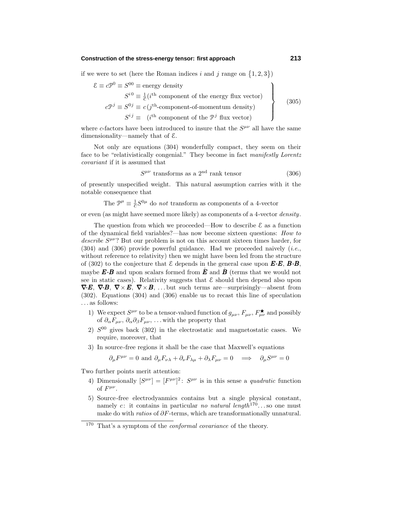# **Construction of the stress-energy tensor: first approach 213**

if we were to set (here the Roman indices *i* and *j* range on  $\{1,2,3\}$ )

$$
\mathcal{E} \equiv c\mathcal{P}^{0} \equiv S^{00} \equiv \text{energy density}
$$
\n
$$
S^{i0} \equiv \frac{1}{c}(i^{\text{th}} \text{ component of the energy flux vector})
$$
\n
$$
c\mathcal{P}^{j} \equiv S^{0j} \equiv c(j^{\text{th}}\text{-component-of-momentum density})
$$
\n
$$
S^{i j} \equiv (i^{\text{th}} \text{ component of the } \mathcal{P}^{j} \text{ flux vector})
$$
\n(305)

where *c*-factors have been introduced to insure that the  $S^{\mu\nu}$  all have the same dimensionality—namely that of E.

Not only are equations (304) wonderfully compact, they seem on their face to be "relativistically congenial." They become in fact manifestly Lorentz covariant if it is assumed that

$$
S^{\mu\nu} \text{ transforms as a } 2^{\text{nd}} \text{ rank tensor} \tag{306}
$$

of presently unspecified weight. This natural assumption carries with it the notable consequence that

The  $\mathcal{P}^{\mu} \equiv \frac{1}{c} S^{0\mu}$  do *not* transform as components of a 4-vector

or even (as might have seemed more likely) as components of a 4-vector density.

The question from which we proceeded—How to describe  $\mathcal E$  as a function of the dynamical field variables?—has now become sixteen questions: How to describe *Sµν*? But our problem is not on this account sixteen times harder, for  $(304)$  and  $(306)$  provide powerful guidance. Had we proceeded naively *(i.e.*, without reference to relativity) then we might have been led from the structure of (302) to the conjecture that  $\mathcal{E}$  depends in the general case upon  $\mathbf{E} \cdot \mathbf{E}$ ,  $\mathbf{B} \cdot \mathbf{B}$ , maybe  $\vec{E} \cdot \vec{B}$  and upon scalars formed from  $\vec{E}$  and  $\vec{B}$  (terms that we would not see in static cases). Relativity suggests that  $\mathcal E$  should then depend also upon  $\nabla E$ ,  $\nabla B$ ,  $\nabla \times E$ ,  $\nabla \times B$ , ... but such terms are—surprisingly—absent from (302). Equations (304) and (306) enable us to recast this line of speculation *...* as follows:

- 1) We expect  $S^{\mu\nu}$  to be a tensor-valued function of  $g_{\mu\nu}$ ,  $F_{\mu\nu}$ ,  $F_{\mu\nu}^{\star}$  and possibly of  $\partial_{\alpha} F_{\mu\nu}$ ,  $\partial_{\alpha} \partial_{\beta} F_{\mu\nu}$ , ... with the property that
- 2) *S*<sup>00</sup> gives back (302) in the electrostatic and magnetostatic cases. We require, moreover, that
- 3) In source-free regions it shall be the case that Maxwell's equations

 $\partial_{\mu}F^{\mu\nu} = 0$  and  $\partial_{\mu}F_{\nu\lambda} + \partial_{\nu}F_{\lambda\mu} + \partial_{\lambda}F_{\mu\nu} = 0 \implies \partial_{\mu}S^{\mu\nu} = 0$ 

Two further points merit attention:

- 4) Dimensionally  $[S^{\mu\nu}] = [F^{\mu\nu}]^2$ :  $S^{\mu\nu}$  is in this sense a *quadratic* function of  $F^{\mu\nu}$ .
- 5) Source-free electrodyanmics contains but a single physical constant, namely *c*: it contains in particular *no natural length*<sup>170</sup>...so one must make do with ratios of *∂F*-terms, which are transformationally unnatural.

<sup>170</sup> That's a symptom of the conformal covariance of the theory.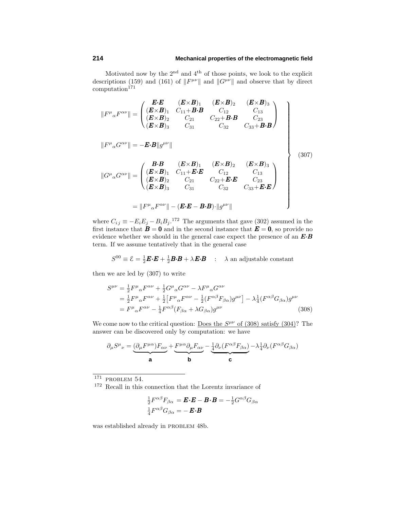Motivated now by the  $2<sup>nd</sup>$  and  $4<sup>th</sup>$  of those points, we look to the explicit descriptions (159) and (161) of  $\|F^{\mu\nu}\|$  and  $\|G^{\mu\nu}\|$  and observe that by direct  $computation<sup>171</sup>$ 

$$
||F^{\mu}{}_{\alpha}F^{\alpha\nu}|| = \begin{pmatrix} \mathbf{E}\cdot\mathbf{E} & (\mathbf{E}\times\mathbf{B})_{1} & (\mathbf{E}\times\mathbf{B})_{2} & (\mathbf{E}\times\mathbf{B})_{3} \\ (\mathbf{E}\times\mathbf{B})_{1} & C_{11}+\mathbf{B}\cdot\mathbf{B} & C_{12} & C_{13} \\ (\mathbf{E}\times\mathbf{B})_{2} & C_{21} & C_{22}+\mathbf{B}\cdot\mathbf{B} & C_{23} \\ (\mathbf{E}\times\mathbf{B})_{3} & C_{31} & C_{32} & C_{33}+\mathbf{B}\cdot\mathbf{B} \end{pmatrix}
$$
  
\n
$$
||F^{\mu}{}_{\alpha}G^{\alpha\nu}|| = -\mathbf{E}\cdot\mathbf{B}||g^{\mu\nu}||
$$
  
\n
$$
||G^{\mu}{}_{\alpha}G^{\alpha\nu}|| = \begin{pmatrix} \mathbf{B}\cdot\mathbf{B} & (\mathbf{E}\times\mathbf{B})_{1} & (\mathbf{E}\times\mathbf{B})_{2} & (\mathbf{E}\times\mathbf{B})_{3} \\ (\mathbf{E}\times\mathbf{B})_{1} & C_{11}+\mathbf{E}\cdot\mathbf{E} & C_{12} & C_{13} \\ (\mathbf{E}\times\mathbf{B})_{2} & C_{21} & C_{22}+\mathbf{E}\cdot\mathbf{E} & C_{23} \\ (\mathbf{E}\times\mathbf{B})_{3} & C_{31} & C_{32} & C_{33}+\mathbf{E}\cdot\mathbf{E} \end{pmatrix}
$$
  
\n
$$
= ||F^{\mu}{}_{\alpha}F^{\alpha\nu}|| - (\mathbf{E}\cdot\mathbf{E}-\mathbf{B}\cdot\mathbf{B})\cdot ||g^{\mu\nu}||
$$

where  $C_{ij} \equiv -E_i E_j - B_i B_j$ .<sup>172</sup> The arguments that gave (302) assumed in the first instance that  $B = 0$  and in the second instance that  $E = 0$ , so provide no evidence whether we should in the general case expect the presence of an *E*·*B* term. If we assume tentatively that in the general case

$$
S^{00} \equiv \mathcal{E} = \frac{1}{2} \mathbf{E} \cdot \mathbf{E} + \frac{1}{2} \mathbf{B} \cdot \mathbf{B} + \lambda \mathbf{E} \cdot \mathbf{B} \quad : \quad \lambda \text{ an adjustable constant}
$$

then we are led by (307) to write

$$
S^{\mu\nu} = \frac{1}{2} F^{\mu}{}_{\alpha} F^{\alpha\nu} + \frac{1}{2} G^{\mu}{}_{\alpha} G^{\alpha\nu} - \lambda F^{\mu}{}_{\alpha} G^{\alpha\nu}
$$
  
\n
$$
= \frac{1}{2} F^{\mu}{}_{\alpha} F^{\alpha\nu} + \frac{1}{2} \left[ F^{\mu}{}_{\alpha} F^{\alpha\nu} - \frac{1}{2} (F^{\alpha\beta} F_{\beta\alpha}) g^{\mu\nu} \right] - \lambda \frac{1}{4} (F^{\alpha\beta} G_{\beta\alpha}) g^{\mu\nu}
$$
  
\n
$$
= F^{\mu}{}_{\alpha} F^{\alpha\nu} - \frac{1}{4} F^{\alpha\beta} (F_{\beta\alpha} + \lambda G_{\beta\alpha}) g^{\mu\nu}
$$
\n(308)

We come now to the critical question: Does the  $S^{\mu\nu}$  of (308) satisfy (304)? The answer can be discovered only by computation: we have

$$
\partial_{\mu}S^{\mu}{}_{\nu} = \underbrace{(\partial_{\mu}F^{\mu\alpha})F_{\alpha\nu}}_{\textbf{a}} + \underbrace{F^{\mu\alpha}\partial_{\mu}F_{\alpha\nu}}_{\textbf{b}} - \underbrace{\frac{1}{4}\partial_{\nu}(F^{\alpha\beta}F_{\beta\alpha})}_{\textbf{c}} - \lambda\frac{1}{4}\partial_{\nu}(F^{\alpha\beta}G_{\beta\alpha})
$$

 $171$  PROBLEM 54.

 $^{172}\,$  Recall in this connection that the Lorentz invariance of

$$
\frac{1}{2}F^{\alpha\beta}F_{\beta\alpha} = \mathbf{E} \cdot \mathbf{E} - \mathbf{B} \cdot \mathbf{B} = -\frac{1}{2}G^{\alpha\beta}G_{\beta\alpha}
$$

$$
\frac{1}{4}F^{\alpha\beta}G_{\beta\alpha} = -\mathbf{E} \cdot \mathbf{B}
$$

was established already in problem 48b.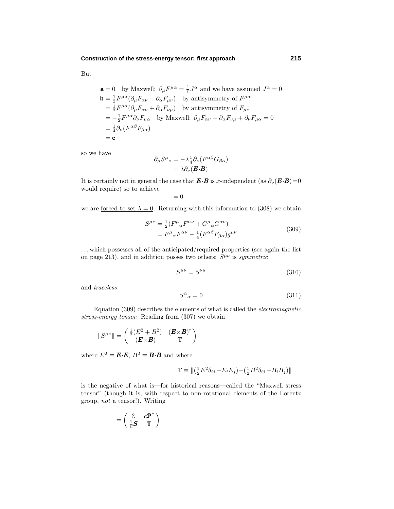# **Construction of the stress-energy tensor: first approach 215**

But

**a** = 0 by Maxwell: 
$$
\partial_{\mu}F^{\mu\alpha} = \frac{1}{c}J^{\alpha}
$$
 and we have assumed  $J^{\alpha} = 0$   
\n**b** =  $\frac{1}{2}F^{\mu\alpha}(\partial_{\mu}F_{\alpha\nu} - \partial_{\alpha}F_{\mu\nu})$  by antisymmetry of  $F^{\mu\alpha}$   
\n=  $\frac{1}{2}F^{\mu\alpha}(\partial_{\mu}F_{\alpha\nu} + \partial_{\alpha}F_{\nu\mu})$  by antisymmetry of  $F_{\mu\nu}$   
\n=  $-\frac{1}{2}F^{\mu\alpha}\partial_{\nu}F_{\mu\alpha}$  by Maxwell:  $\partial_{\mu}F_{\alpha\nu} + \partial_{\alpha}F_{\nu\mu} + \partial_{\nu}F_{\mu\alpha} = 0$   
\n=  $\frac{1}{4}\partial_{\nu}(F^{\alpha\beta}F_{\beta\alpha})$   
\n= **c**

so we have

$$
\partial_{\mu} S^{\mu}{}_{\nu} = -\lambda \frac{1}{4} \partial_{\nu} (F^{\alpha\beta} G_{\beta\alpha})
$$

$$
= \lambda \partial_{\nu} (\mathbf{E} \cdot \mathbf{B})
$$

It is certainly not in general the case that  $\mathbf{E} \cdot \mathbf{B}$  is *x*-independent (as  $\partial_{\nu}(\mathbf{E} \cdot \mathbf{B}) = 0$ would require) so to achieve

$$
= 0
$$

we are <u>forced to set  $\lambda = 0$ </u>. Returning with this information to (308) we obtain

$$
S^{\mu\nu} = \frac{1}{2} (F^{\mu}{}_{\alpha} F^{\alpha\nu} + G^{\mu}{}_{\alpha} G^{\alpha\nu})
$$
  
=  $F^{\mu}{}_{\alpha} F^{\alpha\nu} - \frac{1}{4} (F^{\alpha\beta} F_{\beta\alpha}) g^{\mu\nu}$  (309)

*...* which possesses all of the anticipated/required properties (see again the list on page 213), and in addition posses two others:  $S^{\mu\nu}$  is *symmetric* 

$$
S^{\mu\nu} = S^{\nu\mu} \tag{310}
$$

and traceless

$$
S^{\alpha}{}_{\alpha} = 0 \tag{311}
$$

Equation (309) describes the elements of what is called the electromagnetic stress-energy tensor. Reading from  $(307)$  we obtain

$$
||S^{\mu\nu}|| = \begin{pmatrix} \frac{1}{2}(E^2 + B^2) & (\mathbf{E} \times \mathbf{B})^{\mathsf{T}} \\ (\mathbf{E} \times \mathbf{B}) & \mathbb{T} \end{pmatrix}
$$

where  $E^2 \equiv \mathbf{E} \cdot \mathbf{E}$ ,  $B^2 \equiv \mathbf{B} \cdot \mathbf{B}$  and where

$$
\mathbb{T} \equiv \| \left( \frac{1}{2} E^2 \delta_{ij} - E_i E_j \right) + \left( \frac{1}{2} B^2 \delta_{ij} - B_i B_j \right) \|
$$

is the negative of what is—for historical reasons—called the "Maxwell stress tensor" (though it is, with respect to non-rotational elements of the Lorentz group, not a tensor!). Writing

$$
=\begin{pmatrix}\mathcal{E} & c\pmb{\mathcal{P}}^{\scriptscriptstyle{\text{T}}}\\ \frac{1}{C}\pmb{S} & \mathbb{T}\end{pmatrix}
$$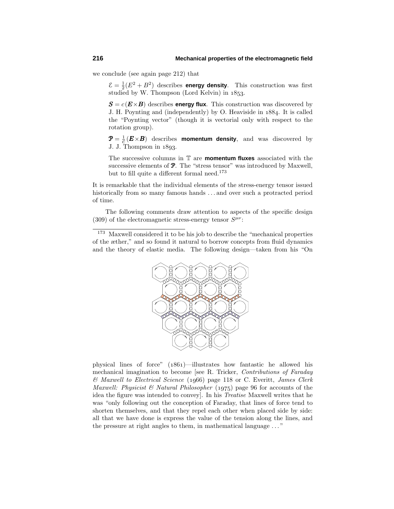we conclude (see again page 212) that

 $\mathcal{E} = \frac{1}{2}(E^2 + B^2)$  describes **energy density**. This construction was first studied by W. Thompson (Lord Kelvin) in 1853.

 $S = c(E \times B)$  describes **energy flux**. This construction was discovered by J. H. Poynting and (independently) by O. Heaviside in  $1884$ . It is called the "Poynting vector" (though it is vectorial only with respect to the rotation group).

 $\mathbf{P} = \frac{1}{c} (E \times B)$  describes **momentum density**, and was discovered by J. J. Thompson in  $1893$ .

The successive columns in T are **momentum fluxes** associated with the successive elements of  $\mathcal{P}$ . The "stress tensor" was introduced by Maxwell, but to fill quite a different formal need.<sup>173</sup>

It is remarkable that the individual elements of the stress-energy tensor issued historically from so many famous hands *...* and over such a protracted period of time.

The following comments draw attention to aspects of the specific design (309) of the electromagnetic stress-energy tensor  $S^{\mu\nu}$ :

<sup>173</sup> Maxwell considered it to be his job to describe the "mechanical properties of the æther," and so found it natural to borrow concepts from fluid dynamics and the theory of elastic media. The following design—taken from his "On



physical lines of force"  $(1861)$ —illustrates how fantastic he allowed his mechanical imagination to become [see R. Tricker, Contributions of Faraday  $\mathscr$  Maxwell to Electrical Science (1966) page 118 or C. Everitt, James Clerk Maxwell: Physicist & Natural Philosopher (1975) page 96 for accounts of the idea the figure was intended to convey]. In his Treatise Maxwell writes that he was "only following out the conception of Faraday, that lines of force tend to shorten themselves, and that they repel each other when placed side by side: all that we have done is express the value of the tension along the lines, and the pressure at right angles to them, in mathematical language *...* "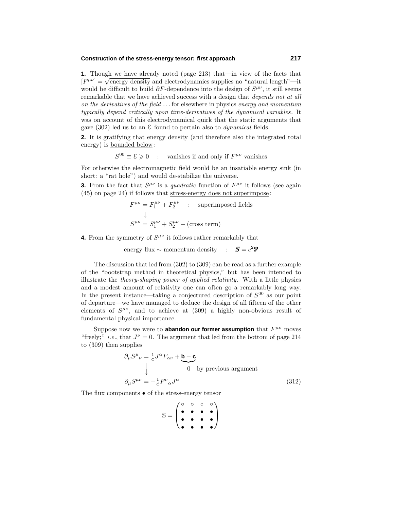# **Construction of the stress-energy tensor: first approach 217**

**1.** Though we have already noted (page 213) that—in view of the facts that  $[F^{\mu\nu}] = \sqrt{\text{energy density}}$  and electrodynamics supplies no "natural length"—it would be difficult to build *∂F*-dependence into the design of *Sµν*, it still seems remarkable that we have achieved success with a design that *depends not at all* on the derivatives of the field *...* for elsewhere in physics energy and momentum typically depend critically upon time-derivatives of the dynamical variables. It was on account of this electrodynamical quirk that the static arguments that gave  $(302)$  led us to an  $\mathcal E$  found to pertain also to *dynamical* fields.

**2.** It is gratifying that energy density (and therefore also the integrated total energy) is bounded below:

 $S^{00} \equiv \mathcal{E} \geq 0$  : vanishes if and only if  $F^{\mu\nu}$  vanishes

For otherwise the electromagnetic field would be an insatiable energy sink (in short: a "rat hole") and would de-stabilize the universe.

**3.** From the fact that  $S^{\mu\nu}$  is a *quadratic* function of  $F^{\mu\nu}$  it follows (see again (45) on page 24) if follows that stress-energy does not superimpose:

$$
F^{\mu\nu} = F_1^{\mu\nu} + F_2^{\mu\nu} \qquad \text{superimposed fields}
$$
  

$$
\downarrow
$$
  

$$
S^{\mu\nu} = S_1^{\mu\nu} + S_2^{\mu\nu} + (\text{cross term})
$$

**4.** From the symmetry of  $S^{\mu\nu}$  it follows rather remarkably that

energy flux ~ momentum density : 
$$
\mathbf{S} = c^2 \mathbf{P}
$$

The discussion that led from (302) to (309) can be read as a further example of the "bootstrap method in theoretical physics," but has been intended to illustrate the theory-shaping power of applied relativity. With a little physics and a modest amount of relativity one can often go a remarkably long way. In the present instance—taking a conjectured description of  $S^{00}$  as our point of departure—we have managed to deduce the design of all fifteen of the other elements of  $S^{\mu\nu}$ , and to achieve at (309) a highly non-obvious result of fundamental physical importance.

Suppose now we were to **abandon our former assumption** that  $F^{\mu\nu}$  moves "freely;" *i.e.*, that  $J^{\nu} = 0$ . The argument that led from the bottom of page 214 to (309) then supplies

$$
\partial_{\mu}S^{\mu}{}_{\nu} = \frac{1}{c}J^{\alpha}F_{\alpha\nu} + \underbrace{\mathbf{b} - \mathbf{c}}_{0} \n\qquad \qquad 0 \quad \text{by previous argument} \n\partial_{\mu}S^{\mu\nu} = -\frac{1}{c}F^{\nu}{}_{\alpha}J^{\alpha}
$$
\n(312)

The flux components • of the stress-energy tensor

$$
\mathbb{S} = \begin{pmatrix} \circ & \circ & \circ & \circ \\ \bullet & \bullet & \bullet & \bullet \\ \bullet & \bullet & \bullet & \bullet \end{pmatrix}
$$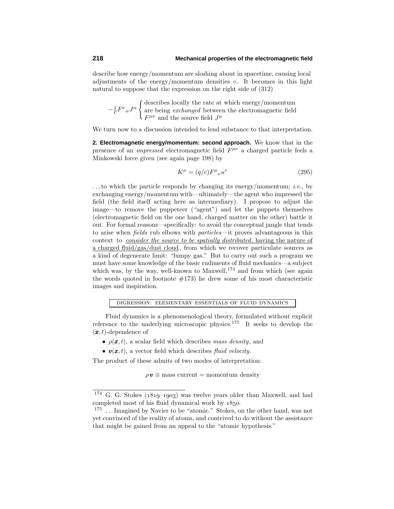describe how energy/momentum are sloshing about in spacetime, causing local adjustments of the energy/momentum densities ◦. It becomes in this light natural to suppose that the expression on the right side of (312)

 $-\frac{1}{c}F^{\nu}{}_{\alpha}J^{\alpha}$  describes locally the rate at which energy/momentum are being exchanged between the electromagnetic field  $F^{\mu\nu}$  and the source field  $J^{\mu}$ 

We turn now to a discussion intended to lend substance to that interpretation.

**2. Electromagnetic energy/momentum: second approach.** We know that in the presence of an *impressed* electromagnetic field  $F^{\mu\nu}$  a charged particle feels a Minkowski force given (see again page 198) by

$$
K^{\mu} = (q/c)F^{\mu}{}_{\nu}u^{\nu} \tag{295}
$$

*...*to which the particle responds by changing its energy/momentum; i.e., by exchanging energy/momentum with—ultimately—the agent who impressed the field (the field itself acting here as intermediary). I propose to adjust the image—to remove the puppeteer ("agent") and let the puppets themselves (electromagnetic field on the one hand, charged matter on the other) battle it out. For formal reasons—specifically: to avoid the conceptual jangle that tends to arise when *fields* rub elbows with *particles*—it proves advantageous in this context to *consider the source to be spatially distributed*, having the nature of a charged fluid/gas/dust cloud, from which we recover particulate sources as a kind of degenerate limit: "lumpy gas." But to carry out such a program we must have some knowledge of the basic rudiments of fluid mechanics—a subject which was, by the way, well-known to Maxwell,  $^{174}$  and from which (see again the words quoted in footnote  $\#173$ ) he drew some of his most characteristic images and inspiration.

# digression: elementary essentials of fluid dynamics

Fluid dynamics is a phenomenological theory, formulated without explicit reference to the underlying microscopic physics.<sup>175</sup> It seeks to develop the (*x, t*)-dependence of

- $\rho(\mathbf{x}, t)$ , a scalar field which describes mass density, and
- $v(x, t)$ , a vector field which describes fluid velocity.

The product of these admits of two modes of interpretation:

 $\rho \mathbf{v} \equiv \text{mass current} = \text{momentum density}$ 

 $174$  G. G. Stokes ( $1819-1903$ ) was twelve years older than Maxwell, and had completed most of his fluid dynamical work by 1850.

<sup>&</sup>lt;sup>175</sup> ... Imagined by Navier to be "atomic." Stokes, on the other hand, was not yet convinced of the reality of atoms, and contrived to do without the assistance that might be gained from an appeal to the "atomic hypothesis."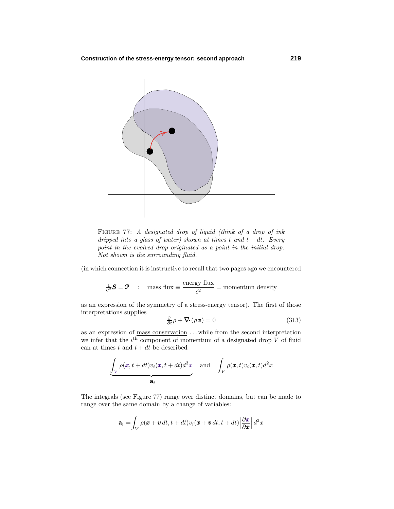

FIGURE 77: A designated drop of liquid (think of a drop of ink dripped into a glass of water) shown at times  $t$  and  $t + dt$ . Every point in the evolved drop originated as a point in the initial drop. Not shown is the surrounding fluid.

(in which connection it is instructive to recall that two pages ago we encountered

$$
\frac{1}{c^2} \mathbf{S} = \mathbf{P} \quad : \quad \text{mass flux} \equiv \frac{\text{energy flux}}{c^2} = \text{momentum density}
$$

as an expression of the symmetry of a stress-energy tensor). The first of those interpretations supplies

$$
\frac{\partial}{\partial t}\rho + \nabla \cdot (\rho \, \boldsymbol{v}) = 0 \tag{313}
$$

as an expression of mass conservation *...* while from the second interpretation we infer that the  $i^{\text{th}}$  component of momentum of a designated drop  $V$  of fluid can at times  $t$  and  $t + dt$  be described

$$
\underbrace{\int_{V} \rho(\pmb{x},t+dt) v_i(\pmb{x},t+dt) d^3x}_{\pmb{a}_i} \quad \text{and} \quad \int_{V} \rho(\pmb{x},t) v_i(\pmb{x},t) d^2x
$$

The integrals (see Figure 77) range over distinct domains, but can be made to range over the same domain by a change of variables:

$$
\mathbf{a}_i = \int_V \rho(\mathbf{x} + \mathbf{v} \, dt, t + dt) v_i(\mathbf{x} + \mathbf{v} \, dt, t + dt) \left| \frac{\partial \mathbf{x}}{\partial \mathbf{x}} \right| d^3x
$$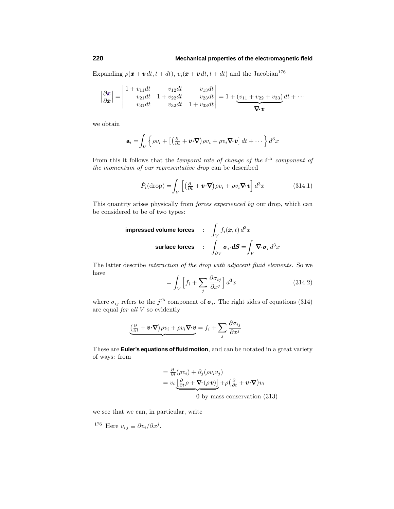Expanding  $\rho(\mathbf{x} + \mathbf{v} dt, t + dt)$ ,  $v_i(\mathbf{x} + \mathbf{v} dt, t + dt)$  and the Jacobian<sup>176</sup>

$$
\left|\frac{\partial x}{\partial x}\right| = \begin{vmatrix} 1 + v_{11}dt & v_{12}dt & v_{13}dt \\ v_{21}dt & 1 + v_{22}dt & v_{23}dt \\ v_{31}dt & v_{32}dt & 1 + v_{33}dt \end{vmatrix} = 1 + \underbrace{(v_{11} + v_{22} + v_{33})}_{\nabla \cdot \mathbf{v}} dt + \cdots
$$

we obtain

$$
\mathbf{a}_i = \int_V \left\{ \rho v_i + \left[ \left( \frac{\partial}{\partial t} + \mathbf{v} \cdot \nabla \right) \rho v_i + \rho v_i \nabla \cdot \mathbf{v} \right] dt + \cdots \right\} d^3x
$$

From this it follows that the *temporal rate of change of the i*<sup>th</sup> component of the momentum of our representative drop can be described

$$
\dot{P}_i(\text{drop}) = \int_V \left[ \left( \frac{\partial}{\partial t} + \boldsymbol{v} \cdot \boldsymbol{\nabla} \right) \rho v_i + \rho v_i \boldsymbol{\nabla} \cdot \boldsymbol{v} \right] d^3 x \tag{314.1}
$$

This quantity arises physically from *forces experienced by* our drop, which can be considered to be of two types:

$$
\text{impressed volume forces} \qquad : \quad \int_V f_i(\boldsymbol{x}, t) \, d^3x
$$
\n
$$
\text{surface forces} \qquad : \quad \int_{\partial V} \boldsymbol{\sigma}_i \cdot d\boldsymbol{S} = \int_V \boldsymbol{\nabla} \cdot \boldsymbol{\sigma}_i \, d^3x
$$

The latter describe interaction of the drop with adjacent fluid elements. So we have

$$
= \int_{V} \left[ f_i + \sum_{j} \frac{\partial \sigma_{ij}}{\partial x^j} \right] d^3 x \tag{314.2}
$$

where  $\sigma_{ij}$  refers to the *j*<sup>th</sup> component of  $\sigma_i$ . The right sides of equations (314) are equal for all *V* so evidently

$$
\underbrace{(\frac{\partial}{\partial t} + \mathbf{v} \cdot \nabla)\rho v_i + \rho v_i \nabla \cdot \mathbf{v}}_{=f_i + \sum_j \frac{\partial \sigma_{ij}}{\partial x^j}}
$$

These are **Euler's equations of fluid motion**, and can be notated in a great variety of ways: from

$$
= \frac{\partial}{\partial t} (\rho v_i) + \partial_j (\rho v_i v_j)
$$
  
=  $v_i \underbrace{\left[\frac{\partial}{\partial t} \rho + \nabla \cdot (\rho \mathbf{v})\right]}_{0 \text{ by mass conservation (313)}}$ 

we see that we can, in particular, write

<sup>&</sup>lt;sup>176</sup> Here  $v_{ij} \equiv \partial v_i / \partial x^j$ .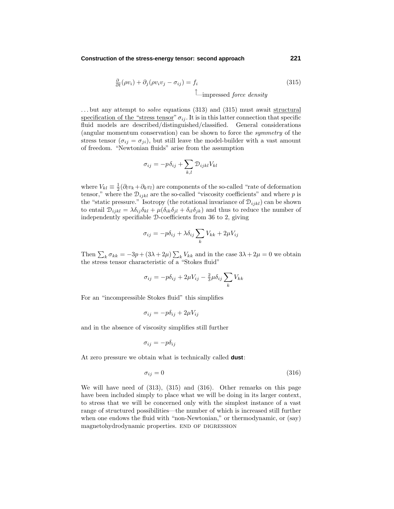# **Construction of the stress-energy tensor: second approach 221**

$$
\frac{\partial}{\partial t}(\rho v_i) + \partial_j(\rho v_i v_j - \sigma_{ij}) = f_i
$$
\n
$$
\hat{\perp}
$$
\n
$$
\text{impressed force density}
$$
\n(315)

*...* but any attempt to solve equations (313) and (315) must await structural specification of the "stress tensor"  $\sigma_{ij}$ . It is in this latter connection that specific fluid models are described/distinguished/classified. General considerations (angular momentum conservation) can be shown to force the symmetry of the stress tensor  $(\sigma_{ij} = \sigma_{ji})$ , but still leave the model-builder with a vast amount of freedom. "Newtonian fluids" arise from the assumption

$$
\sigma_{ij} = -p\delta_{ij} + \sum_{k,l} \mathcal{D}_{ijkl} V_{kl}
$$

where  $V_{kl} \equiv \frac{1}{2} (\partial_l v_k + \partial_k v_l)$  are components of the so-called "rate of deformation" tensor," where the  $\mathcal{D}_{ijkl}$  are the so-called "viscosity coefficients" and where  $p$  is the "static pressure." Isotropy (the rotational invariance of  $\mathcal{D}_{ijkl}$ ) can be shown to entail  $\mathcal{D}_{ijkl} = \lambda \delta_{ij} \delta_{kl} + \mu (\delta_{ik} \delta_{jl} + \delta_{il} \delta_{jk})$  and thus to reduce the number of independently specifiable D-coefficients from 36 to 2, giving

$$
\sigma_{ij} = -p\delta_{ij} + \lambda \delta_{ij} \sum_{k} V_{kk} + 2\mu V_{ij}
$$

Then  $\sum_{k} \sigma_{kk} = -3p + (3\lambda + 2\mu) \sum_{k} V_{kk}$  and in the case  $3\lambda + 2\mu = 0$  we obtain the stress tensor characteristic of a "Stokes fluid"

$$
\sigma_{ij} = -p\delta_{ij} + 2\mu V_{ij} - \frac{2}{3}\mu \delta_{ij} \sum_{k} V_{kk}
$$

For an "incompressible Stokes fluid" this simplifies

$$
\sigma_{ij} = -p\delta_{ij} + 2\mu V_{ij}
$$

and in the absence of viscosity simplifies still further

$$
\sigma_{ij} = -p\delta_{ij}
$$

At zero pressure we obtain what is technically called **dust**:

$$
\sigma_{ij} = 0 \tag{316}
$$

We will have need of (313), (315) and (316). Other remarks on this page have been included simply to place what we will be doing in its larger context, to stress that we will be concerned only with the simplest instance of a vast range of structured possibilities—the number of which is increased still further when one endows the fluid with "non-Newtonian," or thermodynamic, or  $(say)$ magnetohydrodynamic properties. END OF DIGRESSION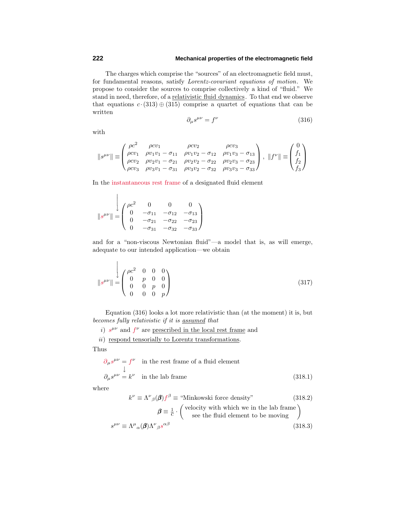The charges which comprise the "sources" of an electromagnetic field must, for fundamental reasons, satisfy Lorentz-covariant equations of motion. We propose to consider the sources to comprise collectively a kind of "fluid." We stand in need, therefore, of a relativistic fluid dynamics. To that end we observe that equations  $c \cdot (313) \oplus (315)$  comprise a quartet of equations that can be written

$$
\partial_{\mu}s^{\mu\nu} = f^{\nu} \tag{316}
$$

with

$$
||s^{\mu\nu}|| \equiv \begin{pmatrix} \rho c^2 & \rho c v_1 & \rho c v_2 & \rho c v_3 \\ \rho c v_1 & \rho v_1 v_1 - \sigma_{11} & \rho v_1 v_2 - \sigma_{12} & \rho v_1 v_3 - \sigma_{13} \\ \rho c v_2 & \rho v_2 v_1 - \sigma_{21} & \rho v_2 v_2 - \sigma_{22} & \rho v_2 v_3 - \sigma_{23} \\ \rho c v_3 & \rho v_3 v_1 - \sigma_{31} & \rho v_3 v_2 - \sigma_{32} & \rho v_3 v_3 - \sigma_{33} \end{pmatrix}, ||f^{\nu}|| \equiv \begin{pmatrix} 0 \\ f_1 \\ f_2 \\ f_3 \end{pmatrix}
$$

In the instantaneous rest frame of a designated fluid element

$$
\|\mathbf{s}^{\mu\nu}\| = \begin{pmatrix} \rho c^2 & 0 & 0 & 0 \\ 0 & -\sigma_{11} & -\sigma_{12} & -\sigma_{13} \\ 0 & -\sigma_{21} & -\sigma_{22} & -\sigma_{23} \\ 0 & -\sigma_{31} & -\sigma_{32} & -\sigma_{33} \end{pmatrix}
$$

and for a "non-viscous Newtonian fluid"—a model that is, as will emerge, adequate to our intended application—we obtain

$$
||s^{\mu\nu}|| = \begin{pmatrix} \rho c^2 & 0 & 0 & 0 \\ 0 & p & 0 & 0 \\ 0 & 0 & p & 0 \\ 0 & 0 & 0 & p \end{pmatrix}
$$
 (317)

Equation (316) looks a lot more relativistic than (at the moment) it is, but becomes fully relativistic if it is **assumed** that

*i*)  $s^{\mu\nu}$  and  $f^{\nu}$  are prescribed in the local rest frame and

 $ii)$  respond tensorially to Lorentz transformations. Thus

$$
\partial_{\mu}s^{\mu\nu} = f^{\nu} \quad \text{in the rest frame of a fluid element}
$$
  

$$
\downarrow \qquad \partial_{\mu}s^{\mu\nu} = k^{\nu} \quad \text{in the lab frame}
$$
 (318.1)

where

 $\overline{1}$ 

$$
k^{\nu} \equiv \Lambda^{\nu}{}_{\beta}(\boldsymbol{\beta}) f^{\beta} \equiv \text{``Minkowski force density''} \tag{318.2}
$$

$$
\boldsymbol{\beta} \equiv \frac{1}{c} \cdot \begin{pmatrix} \text{velocity with which we in the lab frame} \\ \text{see the fluid element to be moving} \end{pmatrix}
$$

$$
s^{\mu\nu} \equiv \Lambda^{\mu}{}_{\alpha}(\boldsymbol{\beta}) \Lambda^{\nu}{}_{\beta} s^{\alpha\beta} \tag{318.3}
$$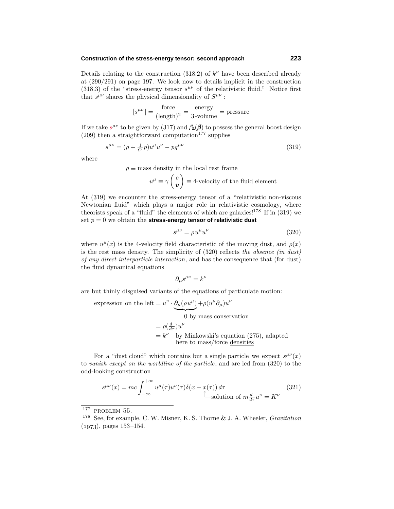# **Construction of the stress-energy tensor: second approach 223**

Details relating to the construction (318.2) of  $k^{\nu}$  have been described already at (290/291) on page 197. We look now to details implicit in the construction (318.3) of the "stress-energy tensor  $s^{\mu\nu}$  of the relativistic fluid." Notice first that  $s^{\mu\nu}$  shares the physical dimensionality of  $S^{\mu\nu}$ :

$$
[s^{\mu\nu}] = \frac{\text{force}}{(\text{length})^2} = \frac{\text{energy}}{3\text{-volume}} = \text{pressure}
$$

If we take  $s^{\mu\nu}$  to be given by (317) and  $\Lambda(\beta)$  to possess the general boost design (209) then a straightforward computation<sup>177</sup> supplies

$$
s^{\mu\nu} = (\rho + \frac{1}{c^2}p)u^{\mu}u^{\nu} - pg^{\mu\nu}
$$
\n(319)

where

 $\rho \equiv$  mass density in the local rest frame

$$
u^{\mu} \equiv \gamma \begin{pmatrix} c \\ \mathbf{v} \end{pmatrix} \equiv 4
$$
-velocity of the fluid element

At (319) we encounter the stress-energy tensor of a "relativistic non-viscous Newtonian fluid" which plays a major role in relativistic cosmology, where theorists speak of a "fluid" the elements of which are galaxies!<sup>178</sup> If in  $(319)$  we set  $p = 0$  we obtain the **stress-energy tensor of relativistic dust** 

$$
s^{\mu\nu} = \rho u^{\mu} u^{\nu} \tag{320}
$$

where  $u^{\mu}(x)$  is the 4-velocity field characteristic of the moving dust, and  $\rho(x)$ is the rest mass density. The simplicity of (320) reflects the absence (in dust) of any direct interparticle interaction, and has the consequence that (for dust) the fluid dynamical equations

$$
\partial_{\mu} s^{\mu\nu} = k^{\nu}
$$

are but thinly disguised variants of the equations of particulate motion:

expression on the left =  $u^{\nu} \cdot \partial_{\mu}(\rho u^{\mu}) + \rho(u^{\mu} \partial_{\mu})u^{\nu}$  $\overline{0}$  by mass conservation  $= \rho(\frac{d}{d\tau})u^{\nu}$  $= k^{\nu}$  by Minkowski's equation (275), adapted here to mass/force densities

For a "dust cloud" which contains but a single particle we expect  $s^{\mu\nu}(x)$ to vanish except on the worldline of the particle, and are led from (320) to the odd-looking construction

$$
s^{\mu\nu}(x) = mc \int_{-\infty}^{+\infty} u^{\mu}(\tau) u^{\nu}(\tau) \delta(x - x(\tau)) d\tau
$$
\n
$$
\text{Solution of } m \frac{d}{d\tau} u^{\nu} = K^{\nu}
$$
\n(321)

 $177$  PROBLEM 55.

<sup>&</sup>lt;sup>178</sup> See, for example, C. W. Misner, K. S. Thorne & J. A. Wheeler, *Gravitation*  $(1973)$ , pages  $153-154$ .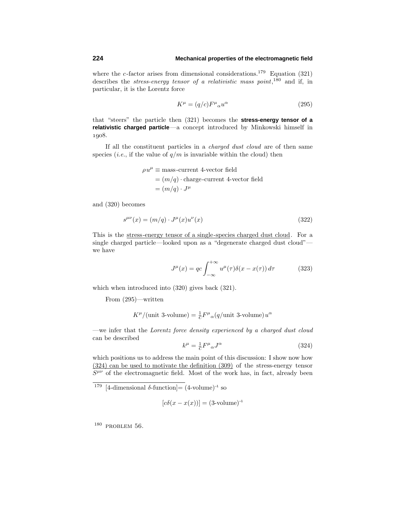where the *c*-factor arises from dimensional considerations.<sup>179</sup> Equation (321) describes the *stress-energy tensor of a relativistic mass point*,<sup>180</sup> and if, in particular, it is the Lorentz force

$$
K^{\mu} = (q/c)F^{\mu}{}_{\alpha}u^{\alpha} \tag{295}
$$

that "steers" the particle then (321) becomes the **stress-energy tensor of a relativistic charged particle**—a concept introduced by Minkowski himself in 1908.

If all the constituent particles in a charged dust cloud are of then same species (*i.e.*, if the value of  $q/m$  is invariable within the cloud) then

$$
\begin{split} \rho u^{\mu} &\equiv \text{mass-current 4-vector field} \\ &=(m/q)\cdot \text{charge-current 4-vector field} \\ &=(m/q)\cdot J^{\mu} \end{split}
$$

and (320) becomes

$$
s^{\mu\nu}(x) = (m/q) \cdot J^{\mu}(x)u^{\nu}(x)
$$
\n(322)

This is the stress-energy tensor of a single-species charged dust cloud. For a single charged particle—looked upon as a "degenerate charged dust cloud" we have

$$
J^{\mu}(x) = qc \int_{-\infty}^{+\infty} u^{\mu}(\tau) \delta(x - x(\tau)) d\tau
$$
 (323)

which when introduced into (320) gives back (321).

From (295)—written

$$
K^{\mu}/(\text{unit 3-volume}) = \frac{1}{c} F^{\mu}{}_{\alpha}(q/\text{unit 3-volume}) u^{\alpha}
$$

—we infer that the Lorentz force density experienced by a charged dust cloud can be described

$$
k^{\mu} = \frac{1}{c} F^{\mu}{}_{\alpha} J^{\alpha} \tag{324}
$$

which positions us to address the main point of this discussion: I show now how (324) can be used to motivate the definition (309) of the stress-energy tensor  $S^{\mu\nu}$  of the electromagnetic field. Most of the work has, in fact, already been

$$
[c\delta(x - x(x))] = (3\text{-volume})^{-1}
$$

 $^{180}\,$  PROBLEM 56.

<sup>&</sup>lt;sup>179</sup> [4-dimensional δ-function]=  $(4$ -volume)<sup>-1</sup> so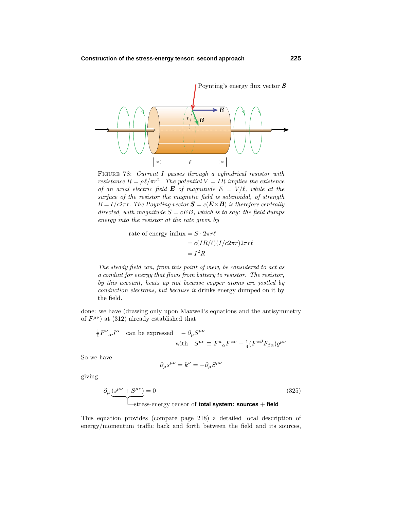

FIGURE 78: Current *I* passes through a cylindrical resistor with resistance  $R = \rho \ell / \pi r^2$ . The potential  $V = IR$  implies the existence of an axial electric field **E** of magnitude  $E = V/\ell$ , while at the surface of the resistor the magnetic field is solenoidal, of strength  $B = I/c2\pi r$ . The Poynting vector **S** =  $c(E \times B)$  is therefore centrally directed, with magnitude  $S = cEB$ , which is to say: the field dumps energy into the resistor at the rate given by

rate of energy influx = 
$$
S \cdot 2\pi r\ell
$$
  
=  $c(IR/\ell)(I/c2\pi r)2\pi r\ell$   
=  $I^2R$ 

The steady field can, from this point of view, be considered to act as a conduit for energy that flows from battery to resistor. The resistor, by this account, heats up not because copper atoms are jostled by conduction electrons, but because it drinks energy dumped on it by the field.

done: we have (drawing only upon Maxwell's equations and the antisymmetry of  $F^{\mu\nu}$ ) at (312) already established that

$$
\frac{1}{c}F^{\nu}{}_{\alpha}J^{\alpha}\quad\text{can be expressed}\quad-\partial_{\mu}S^{\mu\nu}
$$
  
with 
$$
S^{\mu\nu}\equiv F^{\mu}{}_{\alpha}F^{\alpha\nu}-\frac{1}{4}(F^{\alpha\beta}F_{\beta\alpha})g^{\mu\nu}
$$

So we have

$$
\partial_{\mu}s^{\mu\nu}=k^{\nu}=-\partial_{\mu}S^{\mu\nu}
$$

giving

$$
\partial_{\mu} \underbrace{(s^{\mu\nu} + S^{\mu\nu})}_{\text{stress-energy tensor of total system: sources + field}} = 0
$$
\n(325)

This equation provides (compare page 218) a detailed local description of energy/momentum traffic back and forth between the field and its sources,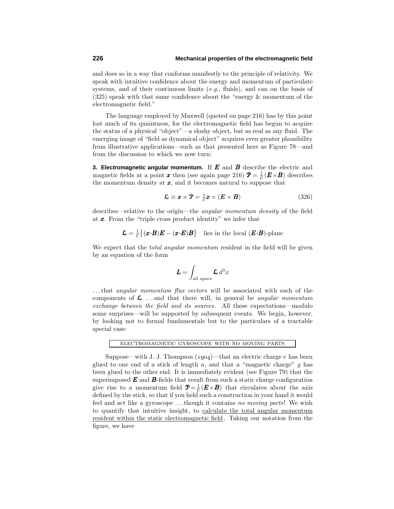and does so in a way that conforms manifestly to the principle of relativity. We speak with intuitive confidence about the energy and momentum of particulate systems, and of their continuous limits  $(e,q, \text{ fluids})$ , and can on the basis of (325) speak with that same confidence about the "energy & momentum of the electromagnetic field."

The language employed by Maxwell (quoted on page 216) has by this point lost much of its quaintness, for the electromagnetic field has begun to acquire the status of a physical "object"—a sloshy object, but as real as any fluid. The emerging image of "field as dynamical object" acquires even greater plausibility from illustrative applications—such as that presented here as Figure 78—and from the discussion to which we now turn:

**3. Electromagnetic angular momentum.** If *E* and *B* describe the electric and magnetic fields at a point **x** then (see again page 216)  $\mathbf{P} = \frac{1}{c} (\mathbf{E} \times \mathbf{B})$  describes the momentum density at *x*, and it becomes natural to suppose that

$$
\mathcal{L} \equiv \mathbf{x} \times \mathbf{P} = \frac{1}{C} \mathbf{x} \times (\mathbf{E} \times \mathbf{B}) \tag{326}
$$

describes—relative to the origin—the angular momentum density of the field at *x*. From the "triple cross product identity" we infer that

$$
\mathcal{L} = \frac{1}{c} \big\{ (\boldsymbol{x} \cdot \boldsymbol{B}) \boldsymbol{E} - (\boldsymbol{x} \cdot \boldsymbol{E}) \boldsymbol{B} \big\}
$$
 lies in the local  $(\boldsymbol{E} \cdot \boldsymbol{B})$ -plane

We expect that the *total angular momentum* resident in the field will be given by an equation of the form

$$
\boldsymbol{L} = \int_{\text{all space}} \mathcal{L} \, d^3 x
$$

*...*that angular momentum flux vectors will be associated with each of the components of  $\mathcal L$  ... and that there will, in general be *angular momentum* exchange between the field and its sources. All these expectations—modulo some surprises—will be supported by subsequent events. We begin, however, by looking not to formal fundamentals but to the particulars of a tractable special case:

electromagnetic gyroscope with no moving parts

Suppose—with J. J. Thompson  $(1904)$ —that an electric charge  $e$  has been glued to one end of a stick of length *a*, and that a "magnetic charge" *g* has been glued to the other end. It is immediately evident (see Figure 79) that the superimposed *E* and *B*-fields that result from such a static charge configuration give rise to a momentum field  $\mathbf{P} = \frac{1}{c} (\mathbf{E} \times \mathbf{B})$  that circulates about the axis defined by the stick, so that if you held such a construction in your hand it would feel and act like a gyroscope *...*though it contains no moving parts! We wish to quantify that intuitive insight, to calculate the total angular momentum resident within the static electromagnetic field. Taking our notation from the figure, we have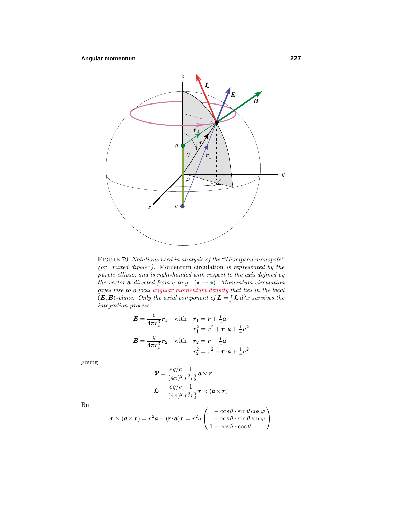

FIGURE 79: Notations used in analysis of the "Thompson monopole" (or "mixed dipole"). Momentum circulation is represented by the purple ellipse, and is right-handed with respect to the axis defined by the vector **a** directed from *e* to  $g : (\bullet \rightarrow \bullet)$ . Momentum circulation gives rise to a local angular momentum density that lies in the local  $(E, B)$ -plane. Only the axial component of  $L = \int \mathcal{L} d^3x$  survives the integration process.

$$
\mathbf{E} = \frac{e}{4\pi r_1^3} \mathbf{r}_1 \text{ with } \mathbf{r}_1 = \mathbf{r} + \frac{1}{2} \mathbf{a}
$$
  

$$
r_1^2 = r^2 + \mathbf{r} \cdot \mathbf{a} + \frac{1}{4} a^2
$$
  

$$
\mathbf{B} = \frac{g}{4\pi r_1^3} \mathbf{r}_2 \text{ with } \mathbf{r}_2 = \mathbf{r} - \frac{1}{2} \mathbf{a}
$$
  

$$
r_2^2 = r^2 - \mathbf{r} \cdot \mathbf{a} + \frac{1}{4} a^2
$$

giving

$$
\mathbf{\mathcal{P}} = \frac{eg/c}{(4\pi)^2} \frac{1}{r_1^3 r_2^3} \mathbf{a} \times \mathbf{r}
$$

$$
\mathbf{\mathcal{L}} = \frac{eg/c}{(4\pi)^2} \frac{1}{r_1^3 r_2^3} \mathbf{r} \times (\mathbf{a} \times \mathbf{r})
$$

But

$$
\mathbf{r} \times (\mathbf{a} \times \mathbf{r}) = r^2 \mathbf{a} - (\mathbf{r} \cdot \mathbf{a}) \mathbf{r} = r^2 a \begin{pmatrix} -\cos \theta \cdot \sin \theta \cos \varphi \\ -\cos \theta \cdot \sin \theta \sin \varphi \\ 1 - \cos \theta \cdot \cos \theta \end{pmatrix}
$$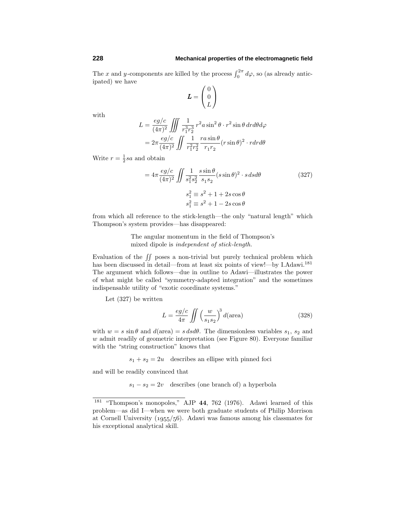The *x* and *y*-components are killed by the process  $\int_0^{2\pi} d\varphi$ , so (as already anticipated) we have

$$
\boldsymbol{L} = \begin{pmatrix} 0 \\ 0 \\ L \end{pmatrix}
$$

with

$$
L = \frac{eg/c}{(4\pi)^2} \iiint \frac{1}{r_1^3 r_2^3} r^2 a \sin^2 \theta \cdot r^2 \sin \theta \, dr d\theta d\varphi
$$

$$
= 2\pi \frac{eg/c}{(4\pi)^2} \iint \frac{1}{r_1^2 r_2^2} \frac{r a \sin \theta}{r_1 r_2} (r \sin \theta)^2 \cdot r dr d\theta
$$

Write  $r = \frac{1}{2}sa$  and obtain

$$
=4\pi \frac{eg/c}{(4\pi)^2} \iint \frac{1}{s_1^2 s_2^2} \frac{s \sin \theta}{s_1 s_2} (s \sin \theta)^2 \cdot s ds d\theta
$$
\n
$$
s_1^2 \equiv s^2 + 1 + 2s \cos \theta
$$
\n
$$
s_1^2 \equiv s^2 + 1 - 2s \cos \theta
$$
\n(327)

from which all reference to the stick-length—the only "natural length" which Thompson's system provides—has disappeared:

> The angular momentum in the field of Thompson's mixed dipole is independent of stick-length.

Evaluation of the  $\iint$  poses a non-trivial but purely technical problem which has been discussed in detail—from at least six points of view!—by I.Adawi.<sup>181</sup> The argument which follows—due in outline to Adawi—illustrates the power of what might be called "symmetry-adapted integration" and the sometimes indispensable utility of "exotic coordinate systems."

Let (327) be written

$$
L = \frac{eg/c}{4\pi} \iint \left(\frac{w}{s_1 s_2}\right)^3 d(\text{area})
$$
 (328)

with  $w = s \sin \theta$  and  $d(\text{area}) = s ds d\theta$ . The dimensionless variables  $s_1$ ,  $s_2$  and *w* admit readily of geometric interpretation (see Figure 80). Everyone familiar with the "string construction" knows that

 $s_1 + s_2 = 2u$  describes an ellipse with pinned foci

and will be readily convinced that

 $s_1 - s_2 = 2v$  describes (one branch of) a hyperbola

<sup>181</sup> "Thompson's monopoles," AJP **44**, 762 (1976). Adawi learned of this problem—as did I—when we were both graduate students of Philip Morrison at Cornell University  $(1955/56)$ . Adawi was famous among his classmates for his exceptional analytical skill.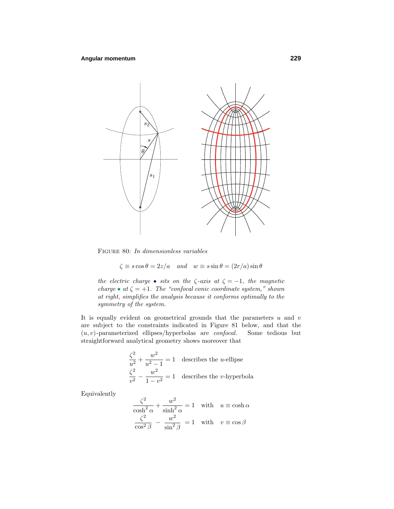

Figure 80: In dimensionless variables

 $\zeta \equiv s \cos \theta = 2z/a$  and  $w \equiv s \sin \theta = (2r/a) \sin \theta$ 

the electric charge • sits on the  $\zeta$ -axis at  $\zeta = -1$ , the magnetic charge • at  $\zeta = +1$ . The "confocal conic coordinate system," shown at right, simplifies the analysis because it conforms optimally to the symmetry of the system.

It is equally evident on geometrical grounds that the parameters *u* and *v* are subject to the constraints indicated in Figure 81 below, and that the (*u, v*)-parameterized ellipses/hyperbolas are confocal. Some tedious but straightforward analytical geometry shows moreover that

$$
\frac{\zeta^2}{u^2} + \frac{w^2}{u^2 - 1} = 1
$$
 describes the *u*-ellipse  

$$
\frac{\zeta^2}{v^2} - \frac{w^2}{1 - v^2} = 1
$$
 describes the *v*-hyperbola

Equivalently

$$
\frac{\zeta^2}{\cosh^2 \alpha} + \frac{w^2}{\sinh^2 \alpha} = 1 \quad \text{with} \quad u \equiv \cosh \alpha
$$

$$
\frac{\zeta^2}{\cos^2 \beta} - \frac{w^2}{\sin^2 \beta} = 1 \quad \text{with} \quad v \equiv \cos \beta
$$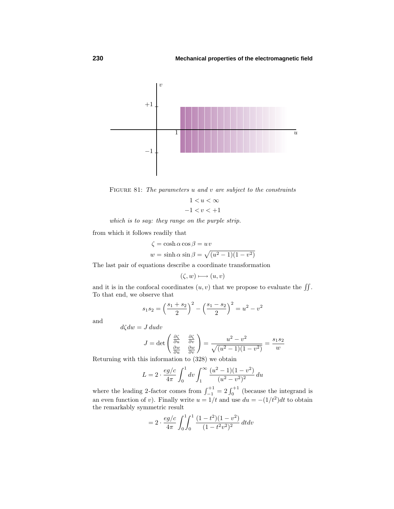

FIGURE 81: The parameters *u* and *v* are subject to the constraints

 $1 < u < \infty$  $-1 < v < +1$ 

which is to say: they range on the purple strip.

from which it follows readily that

$$
\zeta = \cosh \alpha \cos \beta = uv
$$
  

$$
w = \sinh \alpha \sin \beta = \sqrt{(u^2 - 1)(1 - v^2)}
$$

The last pair of equations describe a coordinate transformation

$$
(\zeta,w)\longmapsto (u,v)
$$

and it is in the confocal coordinates  $(u, v)$  that we propose to evaluate the  $\iint$ . To that end, we observe that

$$
s_1 s_2 = \left(\frac{s_1 + s_2}{2}\right)^2 - \left(\frac{s_1 - s_2}{2}\right)^2 = u^2 - v^2
$$

and

$$
d\zeta dw = J \, du dv
$$

$$
J = \det \begin{pmatrix} \frac{\partial \zeta}{\partial u} & \frac{\partial \zeta}{\partial v} \\ \frac{\partial w}{\partial u} & \frac{\partial w}{\partial v} \end{pmatrix} = \frac{u^2 - v^2}{\sqrt{(u^2 - 1)(1 - v^2)}} = \frac{s_1 s_2}{w}
$$

Returning with this information to (328) we obtain

$$
L = 2 \cdot \frac{eg/c}{4\pi} \int_0^1 dv \int_1^\infty \frac{(u^2 - 1)(1 - v^2)}{(u^2 - v^2)^2} du
$$

where the leading 2-factor comes from  $\int_{-1}^{+1} = 2 \int_{0}^{+1}$  (because the integrand is an even function of *v*). Finally write  $u = 1/t$  and use  $du = -(1/t^2)dt$  to obtain the remarkably symmetric result

$$
= 2 \cdot \frac{eg/c}{4\pi} \int_0^1 \int_0^1 \frac{(1-t^2)(1-v^2)}{(1-t^2v^2)^2} dt dv
$$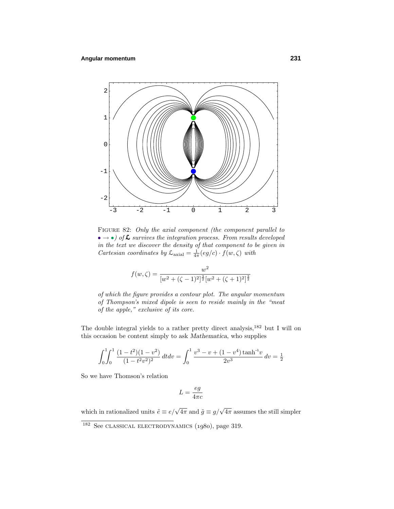

FIGURE 82: Only the axial component (the component parallel to  $\bullet \rightarrow \bullet$ ) of  $\mathcal L$  survives the integration process. From results developed in the text we discover the density of that component to be given in Cartesian coordinates by  $\mathcal{L}_{\text{axial}} = \frac{1}{4\pi} (eg/c) \cdot f(w, \zeta)$  with

$$
f(w,\zeta) = \frac{w^2}{[w^2 + (\zeta - 1)^2]^{\frac{3}{2}}[w^2 + (\zeta + 1)^2]^{\frac{3}{2}}}
$$

of which the figure provides a contour plot. The angular momentum of Thompson's mixed dipole is seen to reside mainly in the "meat of the apple," exclusive of its core.

The double integral yields to a rather pretty direct analysis,<sup>182</sup> but I will on this occasion be content simply to ask *Mathematica*, who supplies

$$
\int_0^1 \int_0^1 \frac{(1 - t^2)(1 - v^2)}{(1 - t^2 v^2)^2} dt dv = \int_0^1 \frac{v^3 - v + (1 - v^4) \tanh^{-1} v}{2v^3} dv = \frac{1}{2}
$$

So we have Thomson's relation

$$
L = \frac{eg}{4\pi c}
$$

which in rationalized units  $\tilde{e} \equiv e/\sqrt{4\pi}$  and  $\tilde{g} \equiv g/\sqrt{4\pi}$  assumes the still simpler

 $182$  See CLASSICAL ELECTRODYNAMICS (1980), page 319.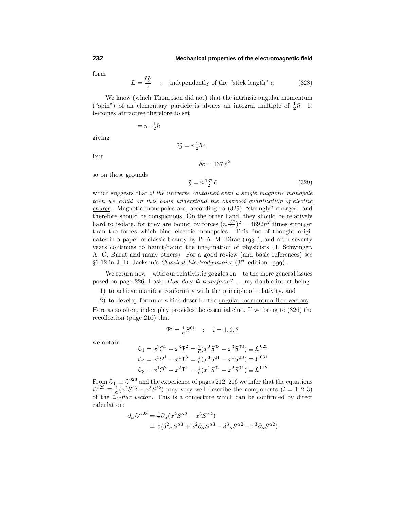form

$$
L = \frac{\tilde{e}\tilde{g}}{c} \quad : \quad
$$
 independently of the "stick length"  $a$  (328)

We know (which Thompson did not) that the intrinsic angular momentum ("spin") of an elementary particle is always an integral multiple of  $\frac{1}{2}\hbar$ . It becomes attractive therefore to set

$$
= n \cdot \frac{1}{2} \hslash
$$

giving

$$
\tilde{e}\tilde{g} = n\frac{1}{2}\hslash c
$$

But

$$
\hbar c = 137 \,\tilde{e}^2
$$

so on these grounds

$$
\tilde{g} = n \frac{137}{2} \tilde{e}
$$
\n<sup>(329)</sup>

which suggests that *if the universe contained even a single magnetic monopole* then we could on this basis understand the observed quantization of electric charge. Magnetic monopoles are, according to (329) "strongly" charged, and therefore should be conspicuous. On the other hand, they should be relatively hard to isolate, for they are bound by forces  $(n\frac{137}{2})^2 = 4692n^2$  times stronger than the forces which bind electric monopoles. This line of thought originates in a paper of classic beauty by P. A. M. Dirac  $(1931)$ , and after seventy years continues to haunt/taunt the imagination of physicists (J. Schwinger, A. O. Barut and many others). For a good review (and basic references) see  $§6.12$  in J. D. Jackson's *Classical Electrodynamics* (3<sup>rd</sup> edition 1999).

We return now—with our relativistic goggles on—to the more general issues posed on page 226. I ask: How does L transform? *...* my double intent being

- 1) to achieve manifest conformity with the principle of relativity, and
- 2) to develop formulæ which describe the angular momentum flux vectors.

Here as so often, index play provides the essential clue. If we bring to (326) the recollection (page 216) that

$$
\mathcal{P}^i = \frac{1}{c} S^{0i} \qquad ; \quad i = 1, 2, 3
$$

we obtain

$$
\mathcal{L}_1 = x^2 \mathcal{P}^3 - x^3 \mathcal{P}^2 = \frac{1}{c} (x^2 S^{03} - x^3 S^{02}) \equiv \mathcal{L}^{023}
$$
  

$$
\mathcal{L}_2 = x^3 \mathcal{P}^1 - x^1 \mathcal{P}^3 = \frac{1}{c} (x^3 S^{01} - x^1 S^{03}) \equiv \mathcal{L}^{031}
$$
  

$$
\mathcal{L}_3 = x^1 \mathcal{P}^2 - x^2 \mathcal{P}^1 = \frac{1}{c} (x^1 S^{02} - x^2 S^{01}) \equiv \mathcal{L}^{012}
$$

From  $\mathcal{L}_1 = \mathcal{L}^{023}$  and the experience of pages 212–216 we infer that the equations  $\mathcal{L}^{i23} \equiv \frac{1}{c}(x^2 S^{i3} - x^3 S^{i2})$  may very well describe the components  $(i = 1, 2, 3)$ of the  $\mathcal{L}_1$ -flux vector. This is a conjecture which can be confirmed by direct calculation:

$$
\partial_{\alpha} \mathcal{L}^{\alpha 23} = \frac{1}{c} \partial_{\alpha} (x^2 S^{\alpha 3} - x^3 S^{\alpha 2})
$$
  
= 
$$
\frac{1}{c} (\delta^2 {\alpha} S^{\alpha 3} + x^2 \partial_{\alpha} S^{\alpha 3} - \delta^3 {\alpha} S^{\alpha 2} - x^3 \partial_{\alpha} S^{\alpha 2})
$$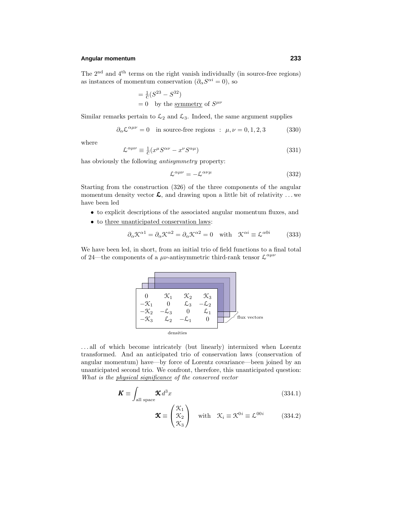# **Angular momentum 233**

The  $2<sup>nd</sup>$  and  $4<sup>th</sup>$  terms on the right vanish individually (in source-free regions) as instances of momentum conservation  $(\partial_{\alpha} S^{\alpha i} = 0)$ , so

$$
= \frac{1}{c}(S^{23} - S^{32})
$$
  
= 0 by the symmetry of  $S^{\mu\nu}$ 

Similar remarks pertain to  $\mathcal{L}_2$  and  $\mathcal{L}_3$ . Indeed, the same argument supplies

$$
\partial_{\alpha} \mathcal{L}^{\alpha \mu \nu} = 0 \quad \text{in source-free regions} \quad : \quad \mu, \nu = 0, 1, 2, 3 \tag{330}
$$

where

$$
\mathcal{L}^{\alpha\mu\nu} \equiv \frac{1}{c} (x^{\mu} S^{\alpha\nu} - x^{\nu} S^{\alpha\mu}) \tag{331}
$$

has obviously the following antisymmetry property:

$$
\mathcal{L}^{\alpha\mu\nu} = -\mathcal{L}^{\alpha\nu\mu} \tag{332}
$$

Starting from the construction (326) of the three components of the angular momentum density vector  $\mathcal{L}$ , and drawing upon a little bit of relativity  $\dots$  we have been led

- to explicit descriptions of the associated angular momentum fluxes, and
- to three unanticipated conservation laws:

$$
\partial_{\alpha} \mathcal{K}^{\alpha 1} = \partial_{\alpha} \mathcal{K}^{\alpha 2} = \partial_{\alpha} \mathcal{K}^{\alpha 2} = 0 \quad \text{with} \quad \mathcal{K}^{\alpha i} \equiv \mathcal{L}^{\alpha 0 i} \tag{333}
$$

We have been led, in short, from an initial trio of field functions to a final total of 24—the components of a  $\mu\nu$ -antisymmetric third-rank tensor  $\mathcal{L}^{\alpha\mu\nu}$ 



*...* all of which become intricately (but linearly) intermixed when Lorentz transformed. And an anticipated trio of conservation laws (conservation of angular momentum) have—by force of Lorentz covariance—been joined by an unanticipated second trio. We confront, therefore, this unanticipated question: What is the physical significance of the conserved vector

$$
\mathbf{K} \equiv \int_{\text{all space}} \mathbf{\mathcal{K}} d^3 x \tag{334.1}
$$

$$
\mathbf{\mathcal{K}} \equiv \begin{pmatrix} \mathcal{K}_1 \\ \mathcal{K}_2 \\ \mathcal{K}_3 \end{pmatrix} \quad \text{with} \quad \mathcal{K}_i \equiv \mathcal{K}^{0i} \equiv \mathcal{L}^{00i} \tag{334.2}
$$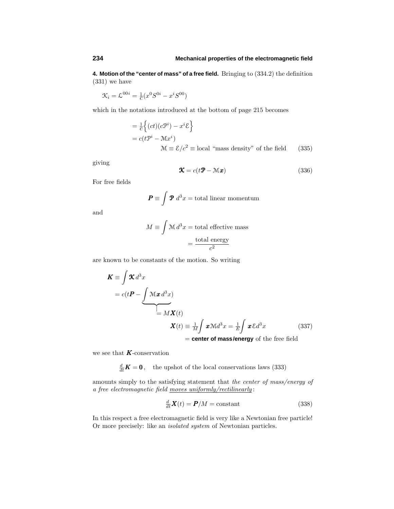**4. Motion of the "center of mass" of a free field.** Bringing to (334.2) the definition (331) we have

$$
\mathcal{K}_i = \mathcal{L}^{00i} = \frac{1}{c} (x^0 S^{0i} - x^i S^{00})
$$

which in the notations introduced at the bottom of page 215 becomes

$$
= \frac{1}{c} \left\{ (ct)(c\mathcal{P}^{i}) - x^{i} \mathcal{E} \right\}
$$
  
=  $c(t\mathcal{P}^{i} - \mathcal{M}x^{i})$   
 $\mathcal{M} \equiv \mathcal{E}/c^{2} \equiv \text{local} \text{ "mass density" of the field} \qquad (335)$ 

giving

$$
\mathbf{\mathcal{K}} = c(t\mathbf{\mathcal{P}} - \mathbf{M}\mathbf{x})\tag{336}
$$

For free fields

$$
\boldsymbol{P} \equiv \int \boldsymbol{P} \, d^3x = \text{total linear momentum}
$$

and

$$
M \equiv \int \mathcal{M} d^3 x = \text{total effective mass}
$$

$$
= \frac{\text{total energy}}{c^2}
$$

are known to be constants of the motion. So writing

$$
K \equiv \int \mathbf{\mathcal{K}} d^3 x
$$
  
=  $c(t\mathbf{P} - \underbrace{\int \mathbf{\mathcal{M}} \mathbf{x} d^3 x}_{\equiv M \mathbf{\mathcal{K}}(t)}$   

$$
\mathbf{X}(t) \equiv \frac{1}{M} \int \mathbf{x} \mathbf{M} d^3 x = \frac{1}{E} \int \mathbf{x} \mathbf{\mathcal{E}} d^3 x
$$
 (337)  
= **center of mass/energy** of the free field

we see that *K*-conservation

 $\frac{d}{dt}$ *K* = **0**, the upshot of the local conservations laws (333)

amounts simply to the satisfying statement that the center of mass/energy of a free electromagnetic field moves uniformly/rectilinearly :

$$
\frac{d}{dt}\mathbf{X}(t) = \mathbf{P}/M = \text{constant} \tag{338}
$$

In this respect a free electromagnetic field is very like a Newtonian free particle! Or more precisely: like an isolated system of Newtonian particles.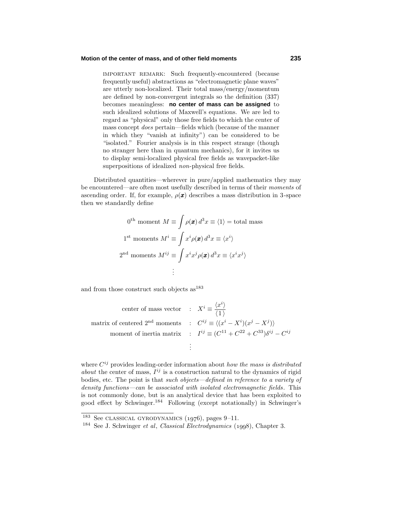# **Motion of the center of mass, and of other field moments 235**

important remark: Such frequently-encountered (because frequentlyuseful) abstractions as "electromagnetic plane waves" are utterly non-localized. Their total mass/energy/momentum are defined by non-convergent integrals so the definition (337) becomes meaningless: **no center of mass can be assigned** to such idealized solutions of Maxwell's equations. We are led to regard as "physical" only those free fields to which the center of mass concept does pertain—fields which (because of the manner in which they "vanish at infinity") can be considered to be "isolated." Fourier analysis is in this respect strange (though no stranger here than in quantum mechanics), for it invites us to display semi-localized physical free fields as wavepacket-like superpositions of idealized non-physical free fields.

Distributed quantities—wherever in pure/applied mathematics they may be encountered—are often most usefully described in terms of their moments of ascending order. If, for example,  $\rho(\mathbf{x})$  describes a mass distribution in 3-space then we standardly define

$$
0^{\text{th}} \text{ moment } M \equiv \int \rho(\mathbf{x}) d^3 x \equiv \langle 1 \rangle = \text{total mass}
$$
  

$$
1^{\text{st}} \text{ moments } M^i \equiv \int x^i \rho(\mathbf{x}) d^3 x \equiv \langle x^i \rangle
$$
  

$$
2^{\text{nd}} \text{ moments } M^{ij} \equiv \int x^i x^j \rho(\mathbf{x}) d^3 x \equiv \langle x^i x^j \rangle
$$
  
:

and from those construct such objects as<sup>183</sup>

center of mass vector : 
$$
X^i \equiv \frac{\langle x^i \rangle}{\langle 1 \rangle}
$$
  
matrix of centered 2<sup>nd</sup> moments :  $C^{ij} \equiv \langle (x^i - X^i)(x^j - X^j) \rangle$   
moment of inertia matrix :  $I^{ij} \equiv (C^{11} + C^{22} + C^{33})\delta^{ij} - C^{ij}$   
:

where  $C^{ij}$  provides leading-order information about how the mass is distributed *about* the center of mass,  $I^{ij}$  is a construction natural to the dynamics of rigid bodies, etc. The point is that such objects—defined in reference to a variety of density functions—can be associated with isolated electromagnetic fields. This is not commonly done, but is an analytical device that has been exploited to good effect by Schwinger.<sup>184</sup> Following (except notationally) in Schwinger's

<sup>&</sup>lt;sup>183</sup> See CLASSICAL GYRODYNAMICS  $(1976)$ , pages 9–11.

 $184$  See J. Schwinger *et al, Classical Electrodynamics* (1998), Chapter 3.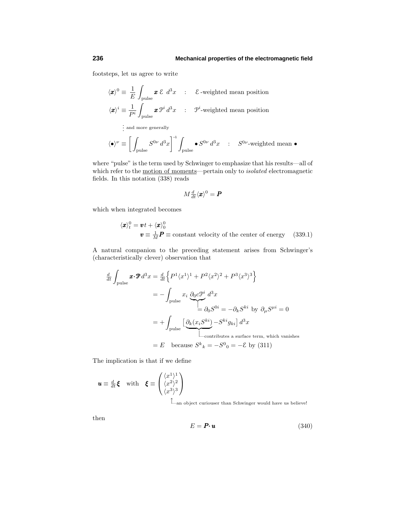footsteps, let us agree to write

$$
\langle \pmb{x} \rangle^0 \equiv \frac{1}{E} \int_{\text{pulse}} \pmb{x} \ \mathcal{E} \ d^3x \quad : \quad \mathcal{E} \text{-weighted mean position}
$$
\n
$$
\langle \pmb{x} \rangle^i \equiv \frac{1}{P^i} \int_{\text{pulse}} \pmb{x} \ \mathcal{P}^i \ d^3x \quad : \quad \mathcal{P}^i\text{-weighted mean position}
$$

. . . and more generally

$$
\langle \bullet \rangle^{\nu} \equiv \left[ \int_{\text{pulse}} S^{0\nu} d^3x \right]^{-1} \int_{\text{pulse}} \bullet S^{0\nu} d^3x \quad : \quad S^{0\nu}\text{-weighted mean} \bullet
$$

where "pulse" is the term used by Schwinger to emphasize that his results—all of which refer to the  $\underline{\mbox{motion of moments}}$  —pertain only to<br>  $isolated$  electromagnetic fields. In this notation (338) reads

$$
M\frac{d}{dt}\langle \pmb{x}\rangle^0=\pmb{P}
$$

which when integrated becomes

$$
\langle \mathbf{x} \rangle_t^0 = \mathbf{v}t + \langle \mathbf{x} \rangle_0^0
$$
  

$$
\mathbf{v} \equiv \frac{1}{M} \mathbf{P} \equiv \text{constant velocity of the center of energy} \quad (339.1)
$$

A natural companion to the preceding statement arises from Schwinger's (characteristically clever) observation that

$$
\frac{d}{dt} \int_{\text{pulse}} \boldsymbol{x} \cdot \boldsymbol{\mathcal{P}} d^3 x = \frac{d}{dt} \Big\{ P^1 \langle x^1 \rangle^1 + P^2 \langle x^2 \rangle^2 + P^3 \langle x^3 \rangle^3 \Big\}
$$
  
\n
$$
= - \int_{\text{pulse}} x_i \underbrace{\partial_0 c} \mathcal{P}^i d^3 x
$$
  
\n
$$
= \partial_0 S^{0i} = -\partial_k S^{ki} \text{ by } \partial_\mu S^{\mu i} = 0
$$
  
\n
$$
= + \int_{\text{pulse}} \Big[ \underbrace{\partial_k (x_i S^{ki})}_{\text{contributes a surface term, which vanishes}} - E \text{ because } S^k{}_k = -S^0{}_0 = -\mathcal{E} \text{ by (311)}
$$

The implication is that if we define

$$
\mathbf{u} \equiv \frac{d}{dt} \boldsymbol{\xi} \quad \text{with} \quad \boldsymbol{\xi} \equiv \begin{pmatrix} \langle x^1 \rangle^1 \\ \langle x^2 \rangle^2 \\ \langle x^3 \rangle^3 \end{pmatrix}
$$
  
 
$$
\begin{bmatrix} \mathbf{u} \\ \mathbf{v} \end{bmatrix}
$$
 
$$
\begin{bmatrix} \mathbf{u} \\ \mathbf{v} \end{bmatrix}
$$
 
$$
\begin{bmatrix} \mathbf{u} \\ \mathbf{v} \end{bmatrix}
$$
 
$$
\begin{bmatrix} \mathbf{u} \\ \mathbf{v} \end{bmatrix}
$$
 
$$
\begin{bmatrix} \mathbf{u} \\ \mathbf{v} \end{bmatrix}
$$
 
$$
\begin{bmatrix} \mathbf{u} \\ \mathbf{v} \end{bmatrix}
$$
 
$$
\begin{bmatrix} \mathbf{u} \\ \mathbf{v} \end{bmatrix}
$$
 
$$
\begin{bmatrix} \mathbf{u} \\ \mathbf{v} \end{bmatrix}
$$
 
$$
\begin{bmatrix} \mathbf{u} \\ \mathbf{v} \end{bmatrix}
$$
 
$$
\begin{bmatrix} \mathbf{u} \\ \mathbf{v} \end{bmatrix}
$$
 
$$
\begin{bmatrix} \mathbf{u} \\ \mathbf{v} \end{bmatrix}
$$
 
$$
\begin{bmatrix} \mathbf{u} \\ \mathbf{v} \end{bmatrix}
$$
 
$$
\begin{bmatrix} \mathbf{u} \\ \mathbf{v} \end{bmatrix}
$$
 
$$
\begin{bmatrix} \mathbf{u} \\ \mathbf{v} \end{bmatrix}
$$
 
$$
\begin{bmatrix} \mathbf{u} \\ \mathbf{v} \end{bmatrix}
$$

then

$$
E = \mathbf{P} \cdot \mathbf{u} \tag{340}
$$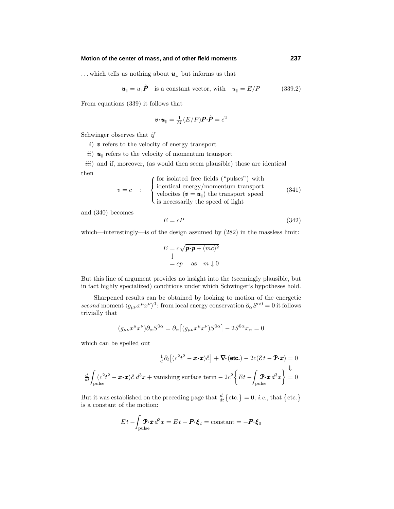# **Motion of the center of mass, and of other field moments 237**

*...* which tells us nothing about *u*<sup>⊥</sup> but informs us that

$$
\boldsymbol{u}_{\parallel} = u_{\parallel} \hat{\boldsymbol{P}} \quad \text{is a constant vector, with} \quad u_{\parallel} = E/P \tag{339.2}
$$

From equations (339) it follows that

$$
\boldsymbol{v}\cdot\boldsymbol{u}_{\parallel}=\tfrac{1}{M}(E/P)\boldsymbol{P}\cdot\hat{\boldsymbol{P}}=c^2
$$

Schwinger observes that if

i)  $\boldsymbol{v}$  refers to the velocity of energy transport

 $ii)$  **u**<sub>|</sub> refers to the velocity of momentum transport

iii) and if, moreover, (as would then seem plausible) those are identical then

$$
v = c
$$
: 
$$
\begin{cases} \text{for isolated free fields ("pulses") with} \\ \text{identical energy/momentum transport} \\ \text{velocities } (\mathbf{v} = \mathbf{u}_{\parallel}) \text{ the transport speed} \\ \text{is necessarily the speed of light} \end{cases}
$$
 (341)

and (340) becomes

$$
E = cP \tag{342}
$$

which—interestingly—is of the design assumed by (282) in the massless limit:

$$
E = c\sqrt{\boldsymbol{p}\cdot\boldsymbol{p} + (mc)^2}
$$
  
\n
$$
\downarrow
$$
  
\n
$$
= cp \text{ as } m \downarrow 0
$$

But this line of argument provides no insight into the (seemingly plausible, but in fact highly specialized) conditions under which Schwinger's hypotheses hold.

Sharpened results can be obtained by looking to motion of the energetic second moment  $\langle g_{\mu\nu}x^{\mu}x^{\nu}\rangle^{0}$ : from local energy conservation  $\partial_{\alpha}S^{\alpha 0} = 0$  it follows trivially that

$$
(g_{\mu\nu}x^{\mu}x^{\nu})\partial_{\alpha}S^{0\alpha} = \partial_{\alpha}\left[ (g_{\mu\nu}x^{\mu}x^{\nu})S^{0\alpha} \right] - 2S^{0\alpha}x_{\alpha} = 0
$$

which can be spelled out

$$
\frac{1}{c}\partial_t \left[ (c^2 t^2 - \mathbf{x} \cdot \mathbf{x}) \mathcal{E} \right] + \nabla \cdot (\text{etc.}) - 2c(\mathcal{E} t - \mathbf{\mathcal{P}} \cdot \mathbf{x}) = 0
$$
  

$$
\frac{d}{dt} \int_{\text{pulse}} (c^2 t^2 - \mathbf{x} \cdot \mathbf{x}) \mathcal{E} \, d^3 x + \text{vanishing surface term} - 2c^2 \left\{ Et - \int_{\text{pulse}} \mathbf{\mathcal{P}} \cdot \mathbf{x} \, d^3 x \right\} = 0
$$

But it was established on the preceding page that  $\frac{d}{dt} \{\text{etc.}\}=0; i.e., \text{that } \{\text{etc.}\}\$ is a constant of the motion:

$$
Et - \int_{\text{pulse}} \mathbf{\mathcal{P}} \cdot \mathbf{x} \, d^3 x = Et - \mathbf{P} \cdot \boldsymbol{\xi}_t = \text{constant} = -\mathbf{P} \cdot \boldsymbol{\xi}_0
$$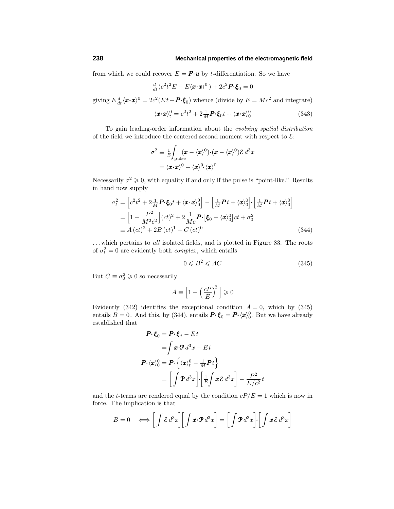from which we could recover  $E = \mathbf{P} \cdot \mathbf{u}$  by *t*-differentiation. So we have

$$
\frac{d}{dt}(c^2t^2E - E\langle \pmb{x}\!\cdot\!\pmb{x}\rangle^0) + 2c^2\pmb{P}\!\cdot\!\pmb{\xi}_0 = 0
$$

giving  $E\frac{d}{dt}\langle \mathbf{x} \cdot \mathbf{x} \rangle^0 = 2c^2(Et + \mathbf{P} \cdot \boldsymbol{\xi}_0)$  whence (divide by  $E = Mc^2$  and integrate)

$$
\langle \boldsymbol{x} \cdot \boldsymbol{x} \rangle_t^0 = c^2 t^2 + 2 \frac{1}{M} \boldsymbol{P} \cdot \boldsymbol{\xi}_0 t + \langle \boldsymbol{x} \cdot \boldsymbol{x} \rangle_0^0 \tag{343}
$$

To gain leading-order information about the evolving spatial distribution of the field we introduce the centered second moment with respect to  $\mathcal{E}$ :

$$
\sigma^2 \equiv \frac{1}{E} \int_{\text{pulse}} (\boldsymbol{x} - \langle \boldsymbol{x} \rangle^0) \cdot (\boldsymbol{x} - \langle \boldsymbol{x} \rangle^0) \mathcal{E} d^3x
$$

$$
= \langle \boldsymbol{x} \cdot \boldsymbol{x} \rangle^0 - \langle \boldsymbol{x} \rangle^0 \cdot \langle \boldsymbol{x} \rangle^0
$$

Necessarily  $\sigma^2 \geq 0$ , with equality if and only if the pulse is "point-like." Results in hand now supply

$$
\sigma_t^2 = \left[c^2 t^2 + 2\frac{1}{M} \mathbf{P} \cdot \boldsymbol{\xi}_0 t + \langle \boldsymbol{x} \cdot \boldsymbol{x} \rangle_0^0\right] - \left[\frac{1}{M} \mathbf{P} t + \langle \boldsymbol{x} \rangle_0^0\right] \cdot \left[\frac{1}{M} \mathbf{P} t + \langle \boldsymbol{x} \rangle_0^0\right]
$$
\n
$$
= \left[1 - \frac{P^2}{M^2 c^2}\right] (ct)^2 + 2\frac{1}{Mc} \mathbf{P} \cdot \left[\boldsymbol{\xi}_0 - \langle \boldsymbol{x} \rangle_0^0\right] ct + \sigma_0^2
$$
\n
$$
\equiv A (ct)^2 + 2B (ct)^1 + C (ct)^0
$$
\n(344)

*...* which pertains to all isolated fields, and is plotted in Figure 83. The roots of  $\sigma_t^2 = 0$  are evidently both *complex*, which entails

$$
0 \leqslant B^2 \leqslant AC \tag{345}
$$

But  $C \equiv \sigma_0^2 \geq 0$  so necessarily

$$
A \equiv \left[1 - \left(\frac{cP}{E}\right)^2\right] \geqslant 0
$$

Evidently (342) identifies the exceptional condition  $A = 0$ , which by (345) entails  $B = 0$ . And this, by (344), entails  $P \cdot \xi_0 = P \cdot \langle x \rangle_0^0$ . But we have already established that

$$
\begin{aligned} \mathbf{P} \cdot \boldsymbol{\xi}_0 &= \mathbf{P} \cdot \boldsymbol{\xi}_t - Et \\ &= \int \boldsymbol{x} \cdot \boldsymbol{P} \, d^3 x - Et \\ \mathbf{P} \cdot \langle \boldsymbol{x} \rangle_0^0 &= \mathbf{P} \cdot \left\{ \langle \boldsymbol{x} \rangle_t^0 - \frac{1}{M} \mathbf{P} \, t \right\} \\ &= \left[ \int \boldsymbol{P} \, d^3 x \right] \cdot \left[ \frac{1}{E} \int \boldsymbol{x} \, \boldsymbol{\xi} \, d^3 x \right] - \frac{P^2}{E/c^2} \, t \end{aligned}
$$

and the *t*-terms are rendered equal by the condition  $cP/E = 1$  which is now in force. The implication is that

$$
B = 0 \quad \Longleftrightarrow \left[ \int \mathcal{E} d^3 x \right] \left[ \int \mathbf{x} \cdot \mathbf{P} d^3 x \right] = \left[ \int \mathbf{P} d^3 x \right] \cdot \left[ \int \mathbf{x} \mathcal{E} d^3 x \right]
$$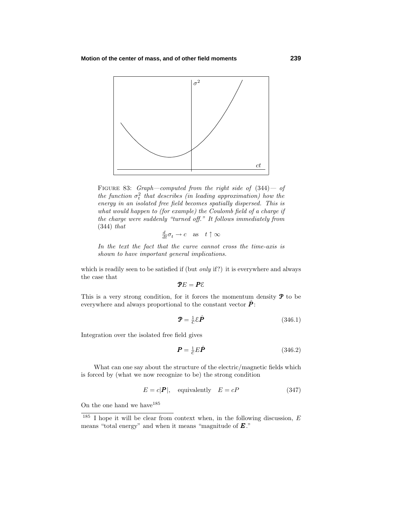

FIGURE 83: Graph—computed from the right side of  $(344)$ — of  $the function \sigma_t^2$  that describes (in leading approximation) how the energy in an isolated free field becomes spatially dispersed. This is what would happen to (for example) the Coulomb field of a charge if the charge were suddenly "turned off." It follows immediately from (344) that

$$
\frac{d}{dt}\sigma_t \to c \quad \text{as} \quad t \uparrow \infty
$$

In the text the fact that the curve cannot cross the time-axis is shown to have important general implications.

which is readily seen to be satisfied if (but *only* if?) it is everywhere and always the case that

$$
\pmb{\mathfrak{P}} E = \pmb{P}\mathfrak{E}
$$

This is a very strong condition, for it forces the momentum density  $\mathcal P$  to be everywhere and always proportional to the constant vector  $\hat{P}$ :

$$
\mathbf{\mathcal{P}} = \frac{1}{c}\mathbf{\mathcal{E}}\hat{\mathbf{P}} \tag{346.1}
$$

Integration over the isolated free field gives

$$
\boldsymbol{P} = \frac{1}{c} E \hat{\boldsymbol{P}} \tag{346.2}
$$

What can one say about the structure of the electric/magnetic fields which is forced by (what we now recognize to be) the strong condition

$$
E = c|\mathbf{P}|, \quad \text{equivalently} \quad E = cP \tag{347}
$$

On the one hand we have  $185$ 

 $185$  I hope it will be clear from context when, in the following discussion,  $E$ means "total energy" and when it means "magnitude of *E* ."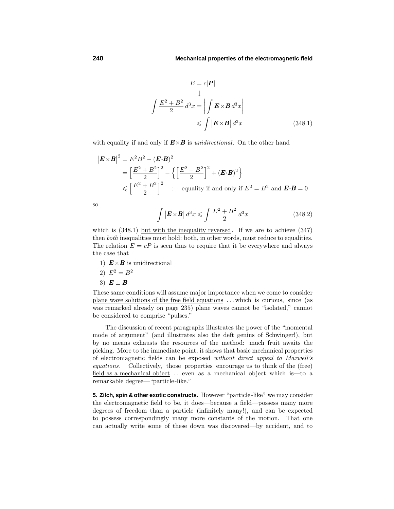$$
E = c|\mathbf{P}|
$$
  

$$
\downarrow
$$
  

$$
\int \frac{E^2 + B^2}{2} d^3 x = \left| \int \mathbf{E} \times \mathbf{B} d^3 x \right|
$$
  

$$
\leq \int |\mathbf{E} \times \mathbf{B}| d^3 x
$$
 (348.1)

with equality if and only if  $\mathbf{E} \times \mathbf{B}$  is *unidirectional*. On the other hand

$$
\begin{aligned} \left| \boldsymbol{E} \times \boldsymbol{B} \right|^2 &= E^2 B^2 - (\boldsymbol{E} \cdot \boldsymbol{B})^2 \\ &= \left[ \frac{E^2 + B^2}{2} \right]^2 - \left\{ \left[ \frac{E^2 - B^2}{2} \right]^2 + (\boldsymbol{E} \cdot \boldsymbol{B})^2 \right\} \\ &\le \left[ \frac{E^2 + B^2}{2} \right]^2 \quad : \quad \text{equality if and only if } E^2 = B^2 \text{ and } \boldsymbol{E} \cdot \boldsymbol{B} = 0 \end{aligned}
$$

so

$$
\int \left| \mathbf{E} \times \mathbf{B} \right| d^3 x \leqslant \int \frac{E^2 + B^2}{2} d^3 x \tag{348.2}
$$

which is  $(348.1)$  but with the inequality reversed. If we are to achieve  $(347)$ then both inequalities must hold: both, in other words, must reduce to equalities. The relation  $E = cP$  is seen thus to require that it be everywhere and always the case that

- 1)  $\mathbf{E} \times \mathbf{B}$  is unidirectional
- 2)  $E^2 = B^2$
- 3) *E* ⊥ *B*

These same conditions will assume major importance when we come to consider plane wave solutions of the free field equations *...* which is curious, since (as was remarked already on page 235) plane waves cannot be "isolated," cannot be considered to comprise "pulses."

The discussion of recent paragraphs illustrates the power of the "momental mode of argument" (and illustrates also the deft genius of Schwinger!), but by no means exhausts the resources of the method: much fruit awaits the picking. More to the immediate point, it shows that basic mechanical properties of electromagnetic fields can be exposed without direct appeal to Maxwell's equations. Collectively, those properties encourage us to think of the (free) field as a mechanical object *...* even as a mechanical object which is—to a remarkable degree—"particle-like."

**5. Zilch, spin & other exotic constructs.** However "particle-like" we may consider the electromagnetic field to be, it does—because a field—possess many more degrees of freedom than a particle (infinitely many!), and can be expected to possess correspondingly many more constants of the motion. That one can actually write some of these down was discovered—by accident, and to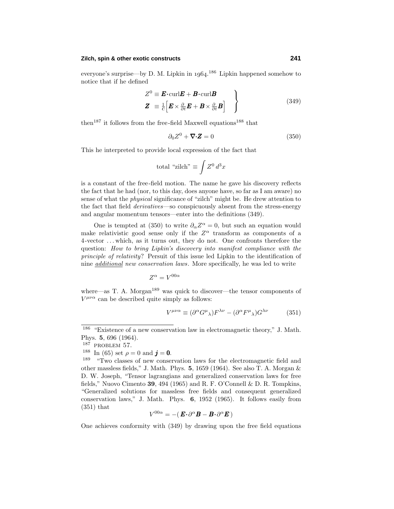# **Zilch, spin & other exotic constructs 241**

everyone's surprise—by D. M. Lipkin in  $1964$ .<sup>186</sup> Lipkin happened somehow to notice that if he defined

$$
Z^{0} \equiv \boldsymbol{E} \cdot \text{curl} \boldsymbol{E} + \boldsymbol{B} \cdot \text{curl} \boldsymbol{B}
$$
  

$$
Z \equiv \frac{1}{c} \Big[ \boldsymbol{E} \times \frac{\partial}{\partial t} \boldsymbol{E} + \boldsymbol{B} \times \frac{\partial}{\partial t} \boldsymbol{B} \Big]
$$
 (349)

then<sup>187</sup> it follows from the free-field Maxwell equations<sup>188</sup> that

$$
\partial_0 Z^0 + \nabla \cdot Z = 0 \tag{350}
$$

This he interpreted to provide local expression of the fact that

total "zilch" 
$$
\equiv \int Z^0 d^3x
$$

is a constant of the free-field motion. The name he gave his discovery reflects the fact that he had (nor, to this day, does anyone have, so far as I am aware) no sense of what the physical significance of "zilch" might be. He drew attention to the fact that field *derivatives*—so conspicuously absent from the stress-energy and angular momentum tensors—enter into the definitions (349).

One is tempted at (350) to write  $\partial_{\alpha} Z^{\alpha} = 0$ , but such an equation would make relativistic good sense only if the  $Z^{\alpha}$  transform as components of a 4-vector *...* which, as it turns out, they do not. One confronts therefore the question: How to bring Lipkin's discovery into manifest compliance with the principle of relativity? Persuit of this issue led Lipkin to the identification of nine *additional new conservation laws*. More specifically, he was led to write

$$
Z^{\alpha} = V^{00\alpha}
$$

where—as T. A. Morgan<sup>189</sup> was quick to discover—the tensor components of  $V^{\mu\nu\alpha}$  can be described quite simply as follows:

$$
V^{\mu\nu\alpha} \equiv (\partial^{\alpha} G^{\mu}{}_{\lambda}) F^{\lambda\nu} - (\partial^{\alpha} F^{\mu}{}_{\lambda}) G^{\lambda\nu} \tag{351}
$$

$$
V^{00\alpha} = -(\boldsymbol{E} \cdot \partial^{\alpha} \boldsymbol{B} - \boldsymbol{B} \cdot \partial^{\alpha} \boldsymbol{E})
$$

One achieves conformity with (349) by drawing upon the free field equations

<sup>186</sup> "Existence of a new conservation law in electromagnetic theory," J. Math. Phys. **5**, 696 (1964).

 $^{187}$  PROBLEM 57.

<sup>&</sup>lt;sup>188</sup> In (65) set  $\rho = 0$  and  $\bm{j} = \bm{0}$ .

<sup>189</sup> "Two classes of new conservation laws for the electromagnetic field and other massless fields," J. Math. Phys. **5**, 1659 (1964). See also T. A. Morgan & D. W. Joseph, "Tensor lagrangians and generalized conservation laws for free fields," Nuovo Cimento **39**, 494 (1965) and R. F. O'Connell & D. R. Tompkins, "Generalized solutions for massless free fields and consequent generalized conservation laws," J. Math. Phys. **6**, 1952 (1965). It follows easily from (351) that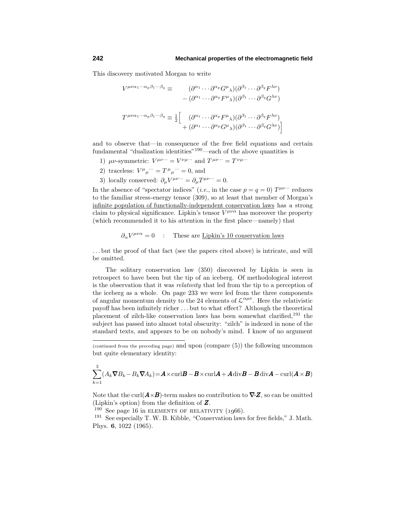This discovery motivated Morgan to write

$$
V^{\mu\nu\alpha_1\cdots\alpha_p\beta_1\cdots\beta_q} \equiv \qquad (\partial^{\alpha_1}\cdots\partial^{\alpha_p}G^{\mu}_{\lambda})(\partial^{\beta_1}\cdots\partial^{\beta_q}F^{\lambda\nu})
$$

$$
-(\partial^{\alpha_1}\cdots\partial^{\alpha_p}F^{\mu}_{\lambda})(\partial^{\beta_1}\cdots\partial^{\beta_q}G^{\lambda\nu})
$$

$$
T^{\mu\nu\alpha_1\cdots\alpha_p\beta_1\cdots\beta_q} \equiv \frac{1}{2} \left[ \begin{array}{c} (\partial^{\alpha_1}\cdots\partial^{\alpha_p}F^{\mu}_{\lambda})(\partial^{\beta_1}\cdots\partial^{\beta_q}F^{\lambda\nu}) \\ + (\partial^{\alpha_1}\cdots\partial^{\alpha_p}G^{\mu}_{\lambda})(\partial^{\beta_1}\cdots\partial^{\beta_q}G^{\lambda\nu}) \end{array} \right]
$$

and to observe that—in consequence of the free field equations and certain fundamental "dualization identities"190—each of the above quantities is

- 1)  $\mu\nu$ -symmetric:  $V^{\mu\nu\cdots} = V^{\nu\mu\cdots}$  and  $T^{\mu\nu\cdots} = T^{\nu\mu\cdots}$
- 2) traceless:  $V^{\mu}{}_{\mu}$ <sup> $\cdots$ </sup> =  $T^{\mu}{}_{\mu}$ <sup> $\cdots$ </sup> = 0, and
- 3) locally conserved:  $\partial_{\mu}V^{\mu\nu\cdots} = \partial_{\mu}T^{\mu\nu\cdots} = 0.$

In the absence of "spectator indices" (*i.e.*, in the case  $p = q = 0$ )  $T^{\mu\nu}$  reduces to the familiar stress-energy tensor (309), so at least that member of Morgan's infinite population of functionally-independent conservation laws has a strong claim to physical significance. Lipkin's tensor  $V^{\mu\nu\alpha}$  has moreover the property (which recommended it to his attention in the first place—namely) that

 $\partial_{\alpha} V^{\mu\nu\alpha} = 0$  : These are Lipkin's 10 conservation laws

*...* but the proof of that fact (see the papers cited above) is intricate, and will be omitted.

The solitary conservation law (350) discovered by Lipkin is seen in retrospect to have been but the tip of an iceberg. Of methodological interest is the observation that it was relativity that led from the tip to a perception of the iceberg as a whole. On page 233 we were led from the three components of angular momentum density to the 24 elements of  $\mathcal{L}^{\alpha\mu\nu}$ . Here the relativistic payoff has been infinitely richer *...* but to what effect? Although the theoretical placement of zilch-like conservation laws has been somewhat clarified, $191$  the subject has passed into almost total obscurity: "zilch" is indexed in none of the standard texts, and appears to be on nobody's mind. I know of no argument

$$
\sum_{k=1}^{3} (A_k \nabla B_k - B_k \nabla A_k) = \boldsymbol{A} \times \text{curl} \boldsymbol{B} - \boldsymbol{B} \times \text{curl} \boldsymbol{A} + \boldsymbol{A} \text{div} \boldsymbol{B} - \boldsymbol{B} \text{div} \boldsymbol{A} - \text{curl} (\boldsymbol{A} \times \boldsymbol{B})
$$

Note that the curl( $\vec{A} \times \vec{B}$ )-term makes no contribution to  $\nabla \cdot \vec{Z}$ , so can be omitted (Lipkin's option) from the definition of *Z*.

 $190$  See page 16 in ELEMENTS OF RELATIVITY (1966).

<sup>191</sup> See especially T. W. B. Kibble, "Conservation laws for free fields," J. Math. Phys. **6**, 1022 (1965).

<sup>(</sup>continued from the preceding page) and upon (compare (5)) the following uncommon but quite elementary identity: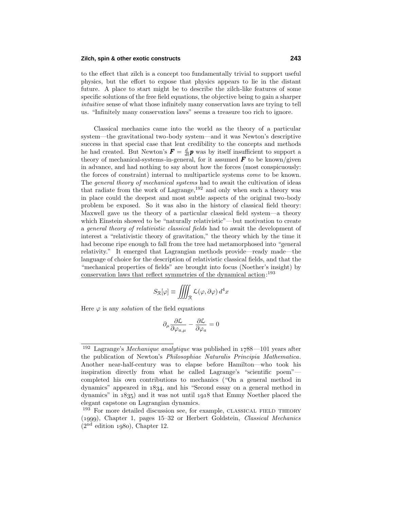# **Zilch, spin & other exotic constructs 243**

to the effect that zilch is a concept too fundamentally trivial to support useful physics, but the effort to expose that physics appears to lie in the distant future. A place to start might be to describe the zilch-like features of some specific solutions of the free field equations, the objective being to gain a sharper intuitive sense of what those infinitely many conservation laws are trying to tell us. "Infinitely many conservation laws" seems a treasure too rich to ignore.

Classical mechanics came into the world as the theory of a particular system—the gravitational two-body system—and it was Newton's descriptive success in that special case that lent credibility to the concepts and methods he had created. But Newton's  $\mathbf{F} = \frac{d}{dt}\mathbf{p}$  was by itself insufficient to support a theory of mechanical-systems-in-general, for it assumed  $\boldsymbol{F}$  to be known/given in advance, and had nothing to say about how the forces (most conspicuously: the forces of constraint) internal to multiparticle systems come to be known. The *general theory of mechanical systems* had to await the cultivation of ideas that radiate from the work of Lagrange, $192$  and only when such a theory was in place could the deepest and most subtle aspects of the original two-body problem be exposed. So it was also in the history of classical field theory: Maxwell gave us the theory of a particular classical field system—a theory which Einstein showed to be "naturally relativistic"—but motivation to create a general theory of relativistic classical fields had to await the development of interest a "relativistic theory of gravitation," the theory which by the time it had become ripe enough to fall from the tree had metamorphosed into "general relativity." It emerged that Lagrangian methods provide—ready made—the language of choice for the description of relativistic classical fields, and that the "mechanical properties of fields" are brought into focus (Noether's insight) by conservation laws that reflect symmetries of the dynamical action: 193

$$
S_{\mathcal{R}}[\varphi] \equiv \iiint_{\mathcal{R}} \mathcal{L}(\varphi, \partial \varphi) d^4x
$$

Here  $\varphi$  is any *solution* of the field equations

$$
\partial_{\mu} \frac{\partial \mathcal{L}}{\partial \varphi_{a,\mu}} - \frac{\partial \mathcal{L}}{\partial \varphi_{a}} = 0
$$

 $^{192}$  Lagrange's  $Mechanique\ analytic que$  was published in  $1788 - 101$  years after the publication of Newton's Philosophiae Naturalis Principia Mathematica. Another near-half-century was to elapse before Hamilton—who took his inspiration directly from what he called Lagrange's "scientific poem" completed his own contributions to mechanics ("On a general method in dynamics" appeared in 1834, and his "Second essay on a general method in dynamics" in 1835) and it was not until 1918 that Emmy Noether placed the elegant capstone on Lagrangian dynamics.

<sup>&</sup>lt;sup>193</sup> For more detailed discussion see, for example, CLASSICAL FIELD THEORY (), Chapter 1, pages 15–32 or Herbert Goldstein, Classical Mechanics  $(2<sup>nd</sup>$  edition 1980), Chapter 12.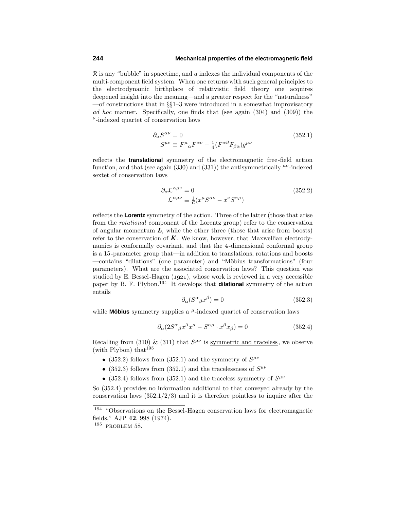R is any "bubble" in spacetime, and *a* indexes the individual components of the multi-component field system. When one returns with such general principles to the electrodynamic birthplace of relativistic field theory one acquires deepened insight into the meaning—and a greater respect for the "naturalness" —of constructions that in  $\S$ 1–3 were introduced in a somewhat improvisatory ad hoc manner. Specifically, one finds that (see again (304) and (309)) the *<sup>ν</sup>*-indexed quartet of conservation laws

$$
\partial_{\alpha} S^{\alpha\nu} = 0
$$
\n
$$
S^{\mu\nu} \equiv F^{\mu}{}_{\alpha} F^{\alpha\nu} - \frac{1}{4} (F^{\alpha\beta} F_{\beta\alpha}) g^{\mu\nu}
$$
\n(352.1)

reflects the **translational** symmetry of the electromagnetic free-field action function, and that (see again (330) and (331)) the antisymmetrically *µν*-indexed sextet of conservation laws

$$
\partial_{\alpha} \mathcal{L}^{\alpha \mu \nu} = 0
$$
\n
$$
\mathcal{L}^{\alpha \mu \nu} \equiv \frac{1}{c} (x^{\mu} S^{\alpha \nu} - x^{\nu} S^{\alpha \mu})
$$
\n(352.2)

reflects the **Lorentz** symmetry of the action. Three of the latter (those that arise from the rotational component of the Lorentz group) refer to the conservation of angular momentum *L*, while the other three (those that arise from boosts) refer to the conservation of *K*. We know, however, that Maxwellian electrodynamics is conformally covariant, and that the 4-dimensional conformal group is a 15-parameter group that—in addition to translations, rotations and boosts —contains "dilations" (one parameter) and "M¨obius transformations" (four parameters). What are the associated conservation laws? This question was studied by E. Bessel-Hagen  $(1921)$ , whose work is reviewed in a very accessible paper by B. F. Plybon.<sup>194</sup> It develops that **dilational** symmetry of the action entails

$$
\partial_{\alpha}(S^{\alpha}{}_{\beta}x^{\beta}) = 0 \tag{352.3}
$$

while **Möbius** symmetry supplies a  $^{\mu}$ -indexed quartet of conservation laws

$$
\partial_{\alpha} (2S^{\alpha}{}_{\beta} x^{\beta} x^{\mu} - S^{\alpha \mu} \cdot x^{\beta} x_{\beta}) = 0 \tag{352.4}
$$

Recalling from (310) & (311) that  $S^{\mu\nu}$  is symmetric and traceless, we observe (with Plybon) that  $195$ 

- (352.2) follows from (352.1) and the symmetry of  $S^{\mu\nu}$
- (352.3) follows from (352.1) and the tracelessness of  $S^{\mu\nu}$
- (352.4) follows from (352.1) and the traceless symmetry of  $S^{\mu\nu}$

So (352.4) provides no information additional to that conveyed already by the conservation laws  $(352.1/2/3)$  and it is therefore pointless to inquire after the

<sup>194</sup> "Observations on the Bessel-Hagen conservation laws for electromagnetic fields," AJP **42**, 998 (1974).

 $^{195}\,$  PROBLEM 58.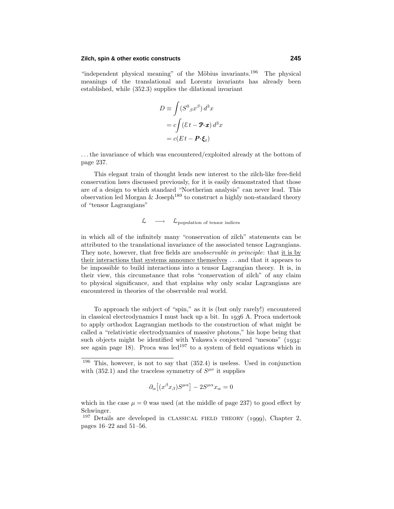# **Zilch, spin & other exotic constructs 245**

"independent physical meaning" of the Möbius invariants.<sup>196</sup> The physical meanings of the translational and Lorentz invariants has already been established, while (352.3) supplies the dilational invariant

$$
D \equiv \int (S^0{}_{\beta} x^{\beta}) d^3x
$$
  
=  $c \int (\mathcal{E} t - \mathbf{P} \cdot \mathbf{x}) d^3x$   
=  $c(Et - \mathbf{P} \cdot \mathbf{\xi}_t)$ 

*...*the invariance of which was encountered/exploited already at the bottom of page 237.

This elegant train of thought lends new interest to the zilch-like free-field conservation laws discussed previously, for it is easily demonstrated that those are of a design to which standard "Noetherian analysis" can never lead. This observation led Morgan  $\&$  Joseph<sup>189</sup> to construct a highly non-standard theory of "tensor Lagrangians"

# $\mathcal{L} \longrightarrow \mathcal{L}_{population\ of\ tensor\ indices}$

in which all of the infinitely many "conservation of zilch" statements can be attributed to the translational invariance of the associated tensor Lagrangians. They note, however, that free fields are *unobservable in principle*: that it is by their interactions that systems announce themselves *...* and that it appears to be impossible to build interactions into a tensor Lagrangian theory. It is, in their view, this circumstance that robs "conservation of zilch" of any claim to physical significance, and that explains why only scalar Lagrangians are encountered in theories of the observable real world.

To approach the subject of "spin," as it is (but only rarely!) encountered in classical electrodynamics I must back up a bit. In  $1936$  A. Proca undertook to apply orthodox Lagrangian methods to the construction of what might be called a "relativistic electrodynamics of massive photons," his hope being that such objects might be identified with Yukawa's conjectured "mesons" (1934: see again page 18). Proca was  $\text{led}^{197}$  to a system of field equations which in

$$
\partial_{\alpha} \left[ (x^{\beta} x_{\beta}) S^{\mu \alpha} \right] - 2 S^{\mu \alpha} x_{\alpha} = 0
$$

which in the case  $\mu = 0$  was used (at the middle of page 237) to good effect by Schwinger.

<sup>196</sup> This, however, is not to say that (352.4) is useless. Used in conjunction with (352.1) and the traceless symmetry of  $S^{\mu\nu}$  it supplies

 $197$  Details are developed in CLASSICAL FIELD THEORY (1999), Chapter 2, pages 16–22 and 51–56.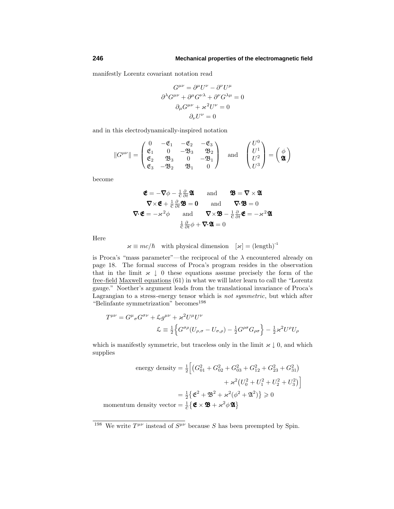manifestly Lorentz covariant notation read

$$
G^{\mu\nu} = \partial^{\mu}U^{\nu} - \partial^{\nu}U^{\mu}
$$

$$
\partial^{\lambda}G^{\mu\nu} + \partial^{\mu}G^{\nu\lambda} + \partial^{\nu}G^{\lambda\mu} = 0
$$

$$
\partial_{\mu}G^{\mu\nu} + \varkappa^{2}U^{\nu} = 0
$$

$$
\partial_{\nu}U^{\nu} = 0
$$

and in this electrodynamically-inspired notation

$$
||G^{\mu\nu}|| = \begin{pmatrix} 0 & -\mathfrak{E}_1 & -\mathfrak{E}_2 & -\mathfrak{E}_3 \\ \mathfrak{E}_1 & 0 & -\mathfrak{B}_3 & \mathfrak{B}_2 \\ \mathfrak{E}_2 & \mathfrak{B}_3 & 0 & -\mathfrak{B}_1 \\ \mathfrak{E}_3 & -\mathfrak{B}_2 & \mathfrak{B}_1 & 0 \end{pmatrix} \quad \text{and} \quad \begin{pmatrix} U^0 \\ U^1 \\ U^2 \\ U^3 \end{pmatrix} = \begin{pmatrix} \phi \\ \mathfrak{A} \end{pmatrix}
$$

become

$$
\mathbf{\mathfrak{E}} = -\nabla\phi - \frac{1}{c}\frac{\partial}{\partial t}\mathbf{\mathfrak{A}} \quad \text{and} \quad \mathbf{\mathfrak{B}} = \nabla \times \mathbf{\mathfrak{A}} \n\nabla \times \mathbf{\mathfrak{E}} + \frac{1}{c}\frac{\partial}{\partial t}\mathbf{\mathfrak{B}} = \mathbf{0} \quad \text{and} \quad \nabla \cdot \mathbf{\mathfrak{B}} = 0 \n\nabla \cdot \mathbf{\mathfrak{E}} = -\varkappa^2 \phi \quad \text{and} \quad \nabla \times \mathbf{\mathfrak{B}} - \frac{1}{c}\frac{\partial}{\partial t}\mathbf{\mathfrak{E}} = -\varkappa^2 \mathbf{\mathfrak{A}} \n\frac{1}{c}\frac{\partial}{\partial t}\phi + \nabla \cdot \mathbf{\mathfrak{A}} = 0
$$

Here

$$
\varkappa \equiv mc/\hbar
$$
 with physical dimension  $[\varkappa] = (\text{length})^{-1}$ 

is Proca's "mass parameter"—the reciprocal of the  $\lambda$  encountered already on page 18. The formal success of Proca's program resides in the observation that in the limit  $x \downarrow 0$  these equations assume precisely the form of the free-field Maxwell equations (61) in what we will later learn to call the "Lorentz gauge." Noether's argument leads from the translational invariance of Proca's Lagrangian to a stress-energy tensor which is not symmetric, but which after "Belinfante symmetrization" becomes<sup>198</sup>

$$
T^{\mu\nu} = G^{\mu}{}_{\sigma} G^{\sigma\nu} + \mathcal{L} g^{\mu\nu} + \varkappa^2 U^{\mu} U^{\nu}
$$
  

$$
\mathcal{L} \equiv \frac{1}{2} \Big\{ G^{\sigma\rho} (U_{\rho,\sigma} - U_{\sigma,\rho}) - \frac{1}{2} G^{\rho\sigma} G_{\rho\sigma} \Big\} - \frac{1}{2} \varkappa^2 U^{\rho} U_{\rho}
$$

which is manifestly symmetric, but traceless only in the limit  $\varkappa \downarrow 0$ , and which supplies

energy density 
$$
=\frac{1}{2}\Big[ (G_{01}^2 + G_{02}^2 + G_{03}^2 + G_{12}^2 + G_{23}^2 + G_{31}^2) + \varkappa^2 (U_0^2 + U_1^2 + U_2^2 + U_3^2) \Big]
$$
  
 $= \frac{1}{2} \{ \mathfrak{E}^2 + \mathfrak{B}^2 + \varkappa^2 (\phi^2 + \mathfrak{A}^2) \} \ge 0$   
momentum density vector  $= \frac{1}{C} \{ \mathfrak{E} \times \mathfrak{B} + \varkappa^2 \phi \mathfrak{A} \}$ 

<sup>&</sup>lt;sup>198</sup> We write  $T^{\mu\nu}$  instead of  $S^{\mu\nu}$  because *S* has been preempted by Spin.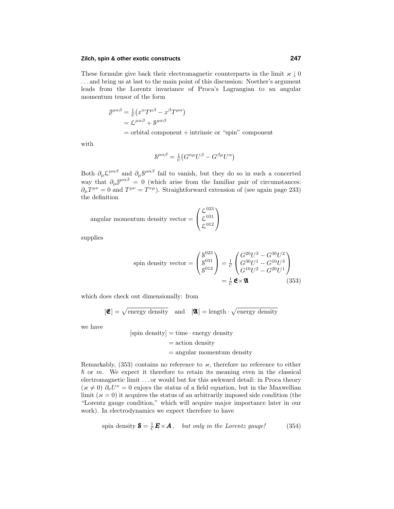# **Zilch, spin & other exotic constructs 247**

These formulæ give back their electromagnetic counterparts in the limit  $\varkappa \downarrow 0$ *...* and bring us at last to the main point of this discussion: Noether's argument leads from the Lorentz invariance of Proca's Lagrangian to an angular momentum tensor of the form

$$
\mathcal{J}^{\mu\alpha\beta} = \frac{1}{c} (x^{\alpha} T^{\mu\beta} - x^{\beta} T^{\mu\alpha})
$$

$$
= \mathcal{L}^{\mu\alpha\beta} + \mathcal{S}^{\mu\alpha\beta}
$$

 $=$  orbital component  $+$  intrinsic or "spin" component

with

$$
S^{\mu\alpha\beta} = \frac{1}{c} \left( G^{\alpha\mu} U^{\beta} - G^{\beta\mu} U^{\alpha} \right)
$$

Both  $\partial_{\mu} \mathcal{L}^{\mu\alpha\beta}$  and  $\partial_{\mu} \mathcal{S}^{\mu\alpha\beta}$  fail to vanish, but they do so in such a concerted way that  $\partial_{\mu} \mathcal{J}^{\mu\alpha\beta} = 0$  (which arise from the familiar pair of circumstances:  $\partial_{\mu}T^{\mu\nu} = 0$  and  $T^{\mu\nu} = T^{\nu\mu}$ ). Straightforward extension of (see again page 233) the definition

angular momentum density vector = 
$$
\begin{pmatrix} \mathcal{L}^{023} \\ \mathcal{L}^{031} \\ \mathcal{L}^{012} \end{pmatrix}
$$

supplies

spin density vector = 
$$
\begin{pmatrix} 8^{023} \\ 8^{031} \\ 8^{012} \end{pmatrix} = \frac{1}{c} \begin{pmatrix} G^{20}U^3 - G^{30}U^2 \\ G^{30}U^1 - G^{10}U^3 \\ G^{10}U^2 - G^{20}U^1 \end{pmatrix}
$$

$$
= \frac{1}{c} \mathbf{\mathfrak{E}} \times \mathbf{\mathfrak{A}} \tag{353}
$$

which does check out dimensionally: from

$$
[\mathbf{\mathfrak{E}}] = \sqrt{\text{energy density}} \quad \text{and} \quad [\mathbf{\mathfrak{A}}] = \text{length} \cdot \sqrt{\text{energy density}}
$$

we have

$$
[\text{spin density}] = \text{time} \cdot \text{energy density} \\
= \text{action density} \\
= \text{angular momentum density}
$$

Remarkably, (353) contains no reference to  $\varkappa$ , therefore no reference to either  $\hbar$  or  $m$ . We expect it therefore to retain its meaning even in the classical electromagnetic limit *...* or would but for this awkward detail: in Proca theory  $(\varkappa \neq 0)$   $\partial_{\nu}U^{\nu} = 0$  enjoys the status of a field equation, but in the Maxwellian limit ( $\varkappa = 0$ ) it acquires the status of an arbitrarily imposed side condition (the "Lorentz gauge condition," which will acquire major importance later in our work). In electrodynamics we expect therefore to have

spin density 
$$
\mathbf{S} = \frac{1}{c} \mathbf{E} \times \mathbf{A}
$$
, but only in the Lorentz gauge! (354)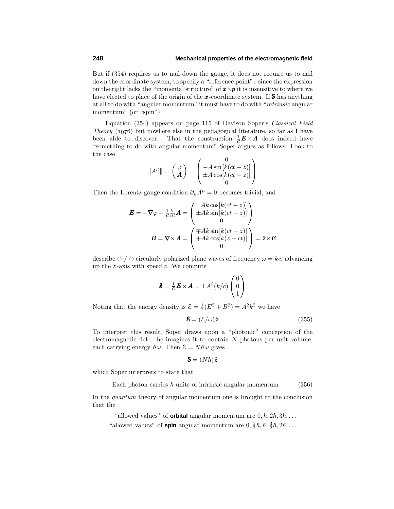But if (354) requires us to nail down the gauge, it does not require us to nail down the coordinate system, to specify a "reference point": since the expression on the right lacks the "momental structure" of  $\mathbf{x} \times \mathbf{p}$  it is insensitive to where we have elected to place of the origin of the **x**-coordinate system. If **S** has anything at all to do with "angular momentum" it must have to do with "intrinsic angular momentum" (or "spin").

Equation (354) appears on page 115 of Davison Soper's Classical Field *Theory* (1976) but nowhere else in the pedagogical literature, so far as I have been able to discover. That the construction  $\frac{1}{c} E \times A$  does indeed have "something to do with angular momentum" Soper argues as follows: Lookto the case  $\alpha$ 

$$
||A^{\mu}|| = \begin{pmatrix} \varphi \\ A \end{pmatrix} = \begin{pmatrix} 0 \\ -A\sin[k(ct - z)] \\ \pm A\cos[k(ct - z)] \\ 0 \end{pmatrix}
$$

Then the Lorentz gauge condition  $\partial_{\mu}A^{\mu} = 0$  becomes trivial, and

$$
\mathbf{E} = -\nabla\varphi - \frac{1}{c}\frac{\partial}{\partial t}\mathbf{A} = \begin{pmatrix} Ak\cos[k(ct - z)] \\ \pm Ak\sin[k(ct - z)] \\ 0 \end{pmatrix}
$$

$$
\mathbf{B} = \nabla\times\mathbf{A} = \begin{pmatrix} \mp Ak\sin[k(ct - z)] \\ + Ak\cos[k(z - ct)] \\ 0 \end{pmatrix} = \hat{\mathbf{z}}\times\mathbf{E}
$$

describe  $\circ$  /  $\circ$  circularly polarized plane waves of frequency  $\omega = kc$ , advancing up the *z* -axis with speed *c*. We compute

$$
\mathbf{S} = \frac{1}{c}\mathbf{E} \times \mathbf{A} = \pm A^2(k/c) \begin{pmatrix} 0 \\ 0 \\ 1 \end{pmatrix}
$$

Noting that the energy density is  $\mathcal{E} = \frac{1}{2}(E^2 + B^2) = A^2 k^2$  we have

$$
\mathbf{S} = (\mathcal{E}/\omega)\hat{\mathbf{z}} \tag{355}
$$

To interpret this result, Soper draws upon a "photonic" conception of the electromagnetic field: he imagines it to contain *N* photons per unit volume, each carrying energy  $\hbar \omega$ . Then  $\mathcal{E} = N \hbar \omega$  gives

$$
\mathbf{S} = (N\hbar)\hat{\mathbf{z}}
$$

which Soper interprets to state that

Each photon carries  $\hbar$  units of intrinsic angular momentum (356)

In the quantum theory of angular momentum one is brought to the conclusion that the

"allowed values" of **orbital** angular momentum are  $0, \hbar, 2\hbar, 3\hbar, \ldots$ 

"allowed values" of **spin** angular momentum are  $0, \frac{1}{2}\hbar, \hbar, \frac{3}{2}\hbar, 2\hbar, \ldots$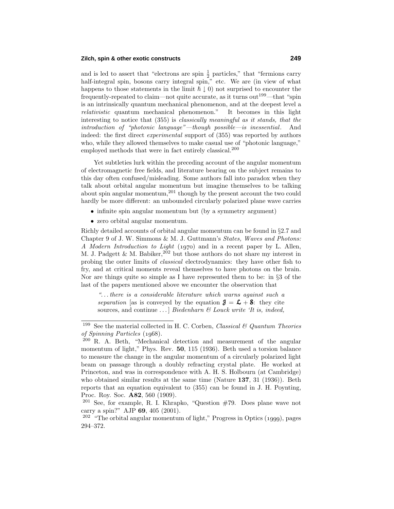# **Zilch, spin & other exotic constructs 249**

and is led to assert that "electrons are spin  $\frac{1}{2}$  particles," that "fermions carry half-integral spin, bosons carry integral spin," etc. We are (in view of what happens to those statements in the limit  $\hbar \downarrow 0$ ) not surprised to encounter the frequently-repeated to claim—not quite accurate, as it turns out<sup>199</sup>—that "spin is an intrinsically quantum mechanical phenomenon, and at the deepest level a relativistic quantum mechanical phenomenon." It becomes in this light interesting to notice that (355) is classically meaningful as it stands, that the introduction of "photonic language"—though possible—is inessential. And indeed: the first direct experimental support of (355) was reported by authors who, while they allowed themselves to make casual use of "photonic language," employed methods that were in fact entirely classical.<sup>200</sup>

Yet subtleties lurk within the preceding account of the angular momentum of electromagnetic free fields, and literature bearing on the subject remains to this day often confused/misleading. Some authors fall into paradox when they talkabout orbital angular momentum but imagine themselves to be talking about spin angular momentum, $^{201}$  though by the present account the two could hardly be more different: an unbounded circularly polarized plane wave carries

- infinite spin angular momentum but (by a symmetry argument)
- zero orbital angular momentum.

Richly detailed accounts of orbital angular momentum can be found in §2.7 and Chapter 9 of J. W. Simmons & M. J. Guttmann's States, Waves and Photons: A Modern Introduction to Light  $(1970)$  and in a recent paper by L. Allen, M. J. Padgett & M. Babiker,<sup>202</sup> but those authors do not share my interest in probing the outer limits of classical electrodynamics: they have other fish to fry, and at critical moments reveal themselves to have photons on the brain. Nor are things quite so simple as I have represented them to be: in §3 of the last of the papers mentioned above we encounter the observation that

"*...*there is a considerable literature which warns against such a separation [as is conveyed by the equation  $\mathfrak{J} = \mathcal{L} + \mathfrak{S}$ : they cite sources, and continue  $\ldots$  *Biedenharn*  $\mathcal C$  Louck write 'It is, indeed,

<sup>&</sup>lt;sup>199</sup> See the material collected in H. C. Corben, *Classical* & *Quantum Theories* of Spinning Particles  $(1968)$ .

<sup>200</sup> R. A. Beth, "Mechanical detection and measurement of the angular momentum of light," Phys. Rev. **50**, 115 (1936). Beth used a torsion balance to measure the change in the angular momentum of a circularly polarized light beam on passage through a doubly refracting crystal plate. He worked at Princeton, and was in correspondence with A. H. S. Holbourn (at Cambridge) who obtained similar results at the same time (Nature **137**, 31 (1936)). Beth reports that an equation equivalent to (355) can be found in J. H. Poynting, Proc. Roy. Soc. **A82**, 560 (1909).

 $201$  See, for example, R. I. Khrapko, "Question  $#79$ . Does plane wave not carry a spin?" AJP **69**, 405 (2001).

 $202$  "The orbital angular momentum of light," Progress in Optics (1999), pages 294–372.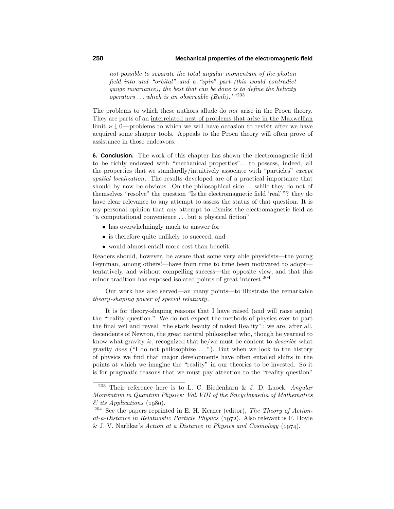not possible to separate the total angular momentum of the photon field into and "orbital" and a "spin" part (this would contradict gauge invariance); the best that can be done is to define the helicity operators *...*which is an observable (Beth).'"<sup>203</sup>

The problems to which these authors allude do not arise in the Proca theory. They are parts of an interrelated nest of problems that arise in the Maxwellian limit  $x \downarrow 0$ —problems to which we will have occasion to revisit after we have acquired some sharper tools. Appeals to the Proca theory will often prove of assistance in those endeavors.

**6. Conclusion.** The work of this chapter has shown the electromagnetic field to be richly endowed with "mechanical properties"*...*to possess, indeed, all the properties that we standardly/intuitively associate with "particles" except spatial localization. The results developed are of a practical importance that should by now be obvious. On the philosophical side *...* while they do not of themselves "resolve" the question "Is the electromagnetic field 'real'"? they do have clear relevance to any attempt to assess the status of that question. It is my personal opinion that any attempt to dismiss the electromagnetic field as "a computational convenience *...* but a physical fiction"

- has overwhelmingly much to answer for
- is therefore quite unlikely to succeed, and
- would almost entail more cost than benefit.

Readers should, however, be aware that some very able physicists—the young Feynman, among others!—have from time to time been motivated to adopt tentatively, and without compelling success—the opposite view, and that this minor tradition has exposed isolated points of great interest.<sup>204</sup>

Our workhas also served—an many points—to illustrate the remarkable theory -shaping power of special relativity.

It is for theory-shaping reasons that I have raised (and will raise again) the "reality question." We do not expect the methods of physics ever to part the final veil and reveal "the starkbeauty of naked Reality": we are, after all, decendents of Newton, the great natural philosopher who, though he yearned to know what gravity is, recognized that he/we must be content to describe what gravity *does* ("I do not philosophize ..."). But when we look to the history of physics we find that major developments have often entailed shifts in the points at which we imagine the "reality" in our theories to be invested. So it is for pragmatic reasons that we must pay attention to the "reality question"

<sup>&</sup>lt;sup>203</sup> Their reference here is to L. C. Biedenharn & J. D. Luock, Angular Momentum in Quantum Physics: Vol. VIII of the Encyclopaedia of Mathematics  $\&$  its Applications (1980).

 $204$  See the papers reprinted in E. H. Kerner (editor), The Theory of Actionat-a-Distance in Relativistic Particle Physics  $(1972)$ . Also relevant is F. Hoyle & J. V. Narlikar's Action at a Distance in Physics and Cosmology  $(1974)$ .